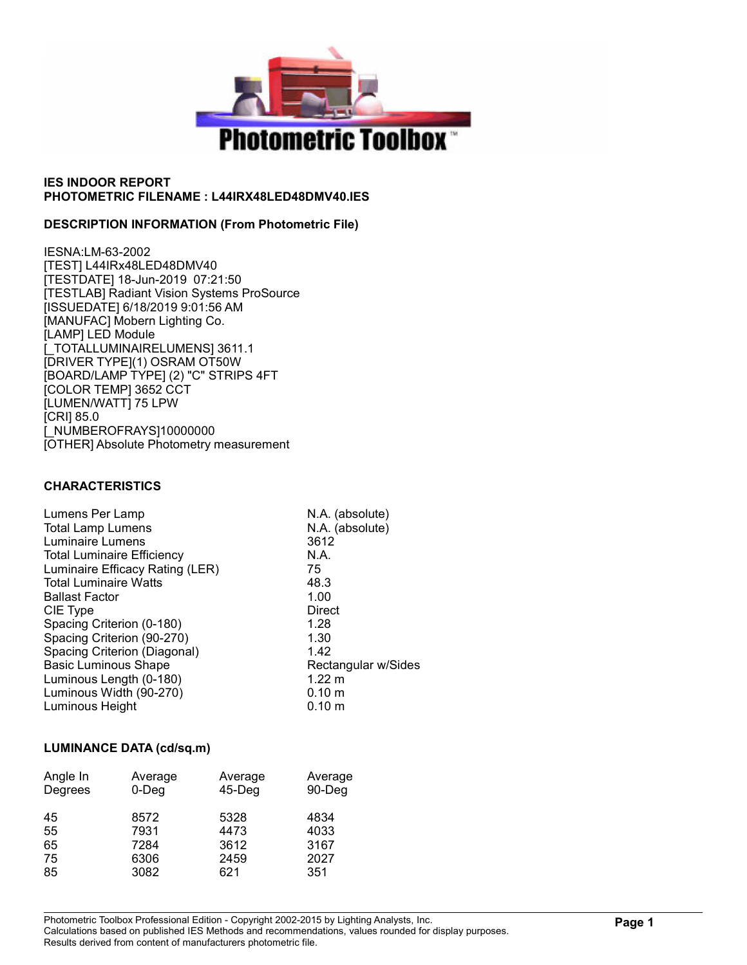

### DESCRIPTION INFORMATION (From Photometric File)

IESNA:LM-63-2002 [TEST] L44IRx48LED48DMV40 [TESTDATE] 18-Jun-2019 07:21:50 [TESTLAB] Radiant Vision Systems ProSource [ISSUEDATE] 6/18/2019 9:01:56 AM [MANUFAC] Mobern Lighting Co. [LAMP] LED Module [\_TOTALLUMINAIRELUMENS] 3611.1 [DRIVER TYPE](1) OSRAM OT50W [BOARD/LAMP TYPE] (2) "C" STRIPS 4FT [COLOR TEMP] 3652 CCT [LUMEN/WATT] 75 LPW [CRI] 85.0 [\_NUMBEROFRAYS]10000000 [OTHER] Absolute Photometry measurement

### CHARACTERISTICS

| N.A. (absolute)     |
|---------------------|
| N.A. (absolute)     |
| 3612                |
| N.A.                |
| 75                  |
| 48.3                |
| 1.00                |
| Direct              |
| 1.28                |
| 1.30                |
| 1.42                |
| Rectangular w/Sides |
| $1.22 \text{ m}$    |
| 0.10 m              |
| $0.10 \;{\rm m}$    |
|                     |

## LUMINANCE DATA (cd/sq.m)

| Angle In<br>Degrees | Average<br>$0$ -Deg | Average<br>$45$ -Deg | Average<br>90-Deg |
|---------------------|---------------------|----------------------|-------------------|
| 45<br>55            | 8572<br>7931        | 5328<br>4473         | 4834<br>4033      |
| 65                  | 7284                | 3612                 | 3167              |
| 75                  | 6306                | 2459                 | 2027              |
| 85                  | 3082                | 621                  | 351               |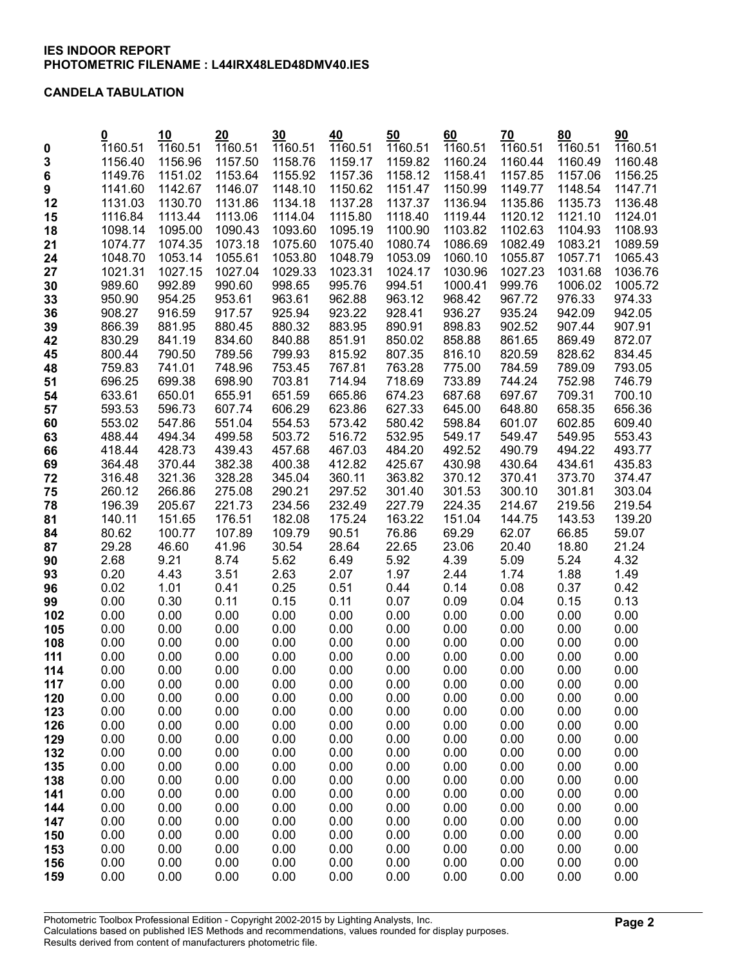### CANDELA TABULATION

| 1160.51<br>1160.51<br>1160.51<br>1160.51<br>1160.51<br>1160.51<br>1160.51<br>1160.51<br>1160.51<br>1160.51<br>$\mathbf 0$<br>3<br>1159.82<br>1156.96<br>1157.50<br>1158.76<br>1159.17<br>1160.24<br>1160.44<br>1160.49<br>1160.48<br>1156.40<br>1158.12<br>6<br>1149.76<br>1151.02<br>1153.64<br>1155.92<br>1157.36<br>1158.41<br>1157.85<br>1157.06<br>1156.25<br>1142.67<br>1146.07<br>1148.10<br>1150.62<br>1151.47<br>1150.99<br>1149.77<br>1148.54<br>9<br>1141.60<br>1147.71<br>1130.70<br>1131.86<br>1134.18<br>1137.28<br>1137.37<br>1136.94<br>1135.86<br>1135.73<br>12<br>1131.03<br>1113.44<br>1120.12<br>1116.84<br>1113.06<br>1114.04<br>1115.80<br>1118.40<br>1119.44<br>1121.10<br>1124.01<br>15<br>1095.00<br>1093.60<br>1100.90<br>1102.63<br>1098.14<br>1090.43<br>1095.19<br>1103.82<br>1104.93<br>1108.93<br>18<br>1074.35<br>1075.60<br>1080.74<br>1082.49<br>1089.59<br>21<br>1074.77<br>1073.18<br>1075.40<br>1086.69<br>1083.21<br>1053.14<br>1053.80<br>1048.79<br>1053.09<br>1055.87<br>24<br>1048.70<br>1055.61<br>1060.10<br>1057.71<br>1065.43<br>27<br>1027.15<br>1027.04<br>1029.33<br>1023.31<br>1024.17<br>1030.96<br>1027.23<br>1031.68<br>1021.31<br>1036.76<br>992.89<br>990.60<br>998.65<br>995.76<br>994.51<br>1000.41<br>999.76<br>1006.02<br>1005.72<br>30<br>989.60<br>954.25<br>953.61<br>963.61<br>962.88<br>963.12<br>968.42<br>976.33<br>33<br>950.90<br>967.72<br>974.33<br>916.59<br>925.94<br>923.22<br>928.41<br>936.27<br>935.24<br>942.09<br>942.05<br>36<br>908.27<br>917.57<br>39<br>866.39<br>881.95<br>880.45<br>880.32<br>883.95<br>890.91<br>898.83<br>902.52<br>907.44<br>907.91<br>861.65<br>869.49<br>872.07<br>830.29<br>841.19<br>834.60<br>840.88<br>851.91<br>850.02<br>858.88<br>42<br>789.56<br>800.44<br>790.50<br>799.93<br>815.92<br>807.35<br>816.10<br>820.59<br>828.62<br>834.45<br>45<br>741.01<br>748.96<br>753.45<br>767.81<br>763.28<br>784.59<br>789.09<br>793.05<br>48<br>759.83<br>775.00<br>699.38<br>703.81<br>714.94<br>718.69<br>733.89<br>744.24<br>752.98<br>746.79<br>51<br>696.25<br>698.90<br>633.61<br>650.01<br>655.91<br>651.59<br>665.86<br>674.23<br>687.68<br>697.67<br>709.31<br>700.10<br>54<br>596.73<br>607.74<br>606.29<br>623.86<br>627.33<br>645.00<br>648.80<br>658.35<br>656.36<br>57<br>593.53<br>547.86<br>554.53<br>573.42<br>580.42<br>598.84<br>602.85<br>609.40<br>553.02<br>551.04<br>601.07<br>60<br>499.58<br>503.72<br>516.72<br>532.95<br>549.17<br>549.47<br>549.95<br>553.43<br>63<br>488.44<br>494.34<br>428.73<br>494.22<br>418.44<br>439.43<br>457.68<br>484.20<br>492.52<br>490.79<br>493.77<br>66<br>467.03<br>370.44<br>382.38<br>425.67<br>430.98<br>434.61<br>69<br>364.48<br>400.38<br>412.82<br>430.64<br>435.83<br>321.36<br>363.82<br>373.70<br>72<br>316.48<br>328.28<br>345.04<br>360.11<br>370.12<br>370.41<br>374.47<br>290.21<br>297.52<br>301.53<br>300.10<br>301.81<br>75<br>260.12<br>266.86<br>275.08<br>301.40<br>303.04<br>232.49<br>78<br>205.67<br>221.73<br>234.56<br>227.79<br>224.35<br>214.67<br>219.56<br>219.54<br>196.39<br>151.65<br>182.08<br>175.24<br>163.22<br>151.04<br>143.53<br>139.20<br>81<br>140.11<br>176.51<br>144.75<br>100.77<br>107.89<br>109.79<br>90.51<br>76.86<br>69.29<br>66.85<br>84<br>80.62<br>62.07<br>59.07<br>46.60<br>30.54<br>28.64<br>23.06<br>20.40<br>29.28<br>41.96<br>22.65<br>18.80<br>21.24<br>87<br>9.21<br>5.62<br>5.92<br>5.24<br>4.32<br>2.68<br>8.74<br>6.49<br>4.39<br>5.09<br>90<br>0.20<br>4.43<br>3.51<br>2.63<br>2.07<br>1.97<br>2.44<br>1.88<br>1.74<br>1.49<br>93<br>0.25<br>0.14<br>0.02<br>1.01<br>0.41<br>0.51<br>0.44<br>0.08<br>0.37<br>0.42<br>96<br>0.30<br>0.00<br>0.11<br>0.15<br>0.11<br>0.07<br>0.09<br>0.04<br>0.15<br>0.13<br>99<br>0.00<br>0.00<br>0.00<br>0.00<br>0.00<br>0.00<br>0.00<br>0.00<br>0.00<br>0.00<br>102<br>0.00<br>0.00<br>0.00<br>0.00<br>0.00<br>0.00<br>0.00<br>0.00<br>0.00<br>105<br>0.00<br>0.00<br>0.00<br>108<br>0.00<br>0.00<br>0.00<br>0.00<br>0.00<br>0.00<br>0.00<br>0.00<br>0.00<br>0.00<br>0.00<br>0.00<br>0.00<br>0.00<br>0.00<br>0.00<br>111<br>0.00<br>0.00<br>0.00<br>0.00<br>0.00<br>0.00<br>0.00<br>0.00<br>0.00<br>114<br>0.00<br>0.00<br>0.00<br>0.00<br>0.00<br>0.00<br>0.00<br>0.00<br>0.00<br>0.00<br>0.00<br>0.00<br>0.00<br>117<br>0.00<br>0.00<br>0.00<br>0.00<br>0.00<br>0.00<br>0.00<br>0.00<br>0.00<br>0.00<br>120<br>0.00<br>0.00<br>0.00<br>123<br>0.00<br>0.00<br>0.00<br>0.00<br>0.00<br>0.00<br>0.00<br>0.00<br>0.00<br>0.00<br>0.00<br>126<br>0.00<br>0.00<br>0.00<br>0.00<br>0.00<br>0.00<br>0.00<br>0.00<br>0.00<br>0.00<br>0.00<br>0.00<br>0.00<br>0.00<br>0.00<br>0.00<br>129<br>0.00<br>0.00<br>0.00<br>132<br>0.00<br>0.00<br>0.00<br>0.00<br>0.00<br>0.00<br>0.00<br>0.00<br>135<br>0.00<br>0.00<br>0.00<br>0.00<br>0.00<br>0.00<br>0.00<br>0.00<br>0.00<br>138<br>0.00<br>0.00<br>0.00<br>0.00<br>0.00<br>0.00<br>0.00<br>0.00<br>0.00<br>0.00<br>0.00<br>0.00<br>0.00<br>0.00<br>0.00<br>0.00<br>0.00<br>0.00<br>0.00<br>0.00<br>141<br>0.00<br>0.00<br>0.00<br>0.00<br>0.00<br>0.00<br>0.00<br>0.00<br>0.00<br>0.00<br>144<br>0.00<br>0.00<br>0.00<br>0.00<br>0.00<br>0.00<br>0.00<br>0.00<br>0.00<br>0.00<br>147<br>0.00<br>0.00<br>0.00<br>0.00<br>0.00<br>0.00<br>0.00<br>0.00<br>0.00<br>0.00<br>150<br>0.00<br>0.00<br>0.00<br>0.00<br>153<br>0.00<br>0.00<br>0.00<br>0.00<br>0.00<br>0.00<br>0.00<br>0.00<br>0.00<br>0.00<br>0.00<br>0.00<br>0.00<br>0.00<br>0.00<br>0.00<br>156<br>0.00<br>0.00<br>0.00<br>0.00<br>0.00<br>0.00<br>0.00<br>0.00<br>0.00<br>0.00<br>159 | $\overline{\mathbf{0}}$ | 10 | 20 | 30 | 40 | 50 | 60 | 70 | 80 | 90      |
|---------------------------------------------------------------------------------------------------------------------------------------------------------------------------------------------------------------------------------------------------------------------------------------------------------------------------------------------------------------------------------------------------------------------------------------------------------------------------------------------------------------------------------------------------------------------------------------------------------------------------------------------------------------------------------------------------------------------------------------------------------------------------------------------------------------------------------------------------------------------------------------------------------------------------------------------------------------------------------------------------------------------------------------------------------------------------------------------------------------------------------------------------------------------------------------------------------------------------------------------------------------------------------------------------------------------------------------------------------------------------------------------------------------------------------------------------------------------------------------------------------------------------------------------------------------------------------------------------------------------------------------------------------------------------------------------------------------------------------------------------------------------------------------------------------------------------------------------------------------------------------------------------------------------------------------------------------------------------------------------------------------------------------------------------------------------------------------------------------------------------------------------------------------------------------------------------------------------------------------------------------------------------------------------------------------------------------------------------------------------------------------------------------------------------------------------------------------------------------------------------------------------------------------------------------------------------------------------------------------------------------------------------------------------------------------------------------------------------------------------------------------------------------------------------------------------------------------------------------------------------------------------------------------------------------------------------------------------------------------------------------------------------------------------------------------------------------------------------------------------------------------------------------------------------------------------------------------------------------------------------------------------------------------------------------------------------------------------------------------------------------------------------------------------------------------------------------------------------------------------------------------------------------------------------------------------------------------------------------------------------------------------------------------------------------------------------------------------------------------------------------------------------------------------------------------------------------------------------------------------------------------------------------------------------------------------------------------------------------------------------------------------------------------------------------------------------------------------------------------------------------------------------------------------------------------------------------------------------------------------------------------------------------------------------------------------------------------------------------------------------------------------------------------------------------------------------------------------------------------------------------------------------------------------------------------------------------------------------------------------------------------------------------------------------------------------------------------------------------------------------------------------------------------------------------------------------------------------------------------------------------------------------------------------------------------------------------------------------------------------------------------------------------------------------------------------------------------------------------------------------------------------------------------------------------------------------------------------------------------------------------------------------------------------------------------------------------------------------------------------------------------------------------------------------------------------------------------------------------------------------------------------------------------------------------------|-------------------------|----|----|----|----|----|----|----|----|---------|
|                                                                                                                                                                                                                                                                                                                                                                                                                                                                                                                                                                                                                                                                                                                                                                                                                                                                                                                                                                                                                                                                                                                                                                                                                                                                                                                                                                                                                                                                                                                                                                                                                                                                                                                                                                                                                                                                                                                                                                                                                                                                                                                                                                                                                                                                                                                                                                                                                                                                                                                                                                                                                                                                                                                                                                                                                                                                                                                                                                                                                                                                                                                                                                                                                                                                                                                                                                                                                                                                                                                                                                                                                                                                                                                                                                                                                                                                                                                                                                                                                                                                                                                                                                                                                                                                                                                                                                                                                                                                                                                                                                                                                                                                                                                                                                                                                                                                                                                                                                                                                                                                                                                                                                                                                                                                                                                                                                                                                                                                                                                                                               |                         |    |    |    |    |    |    |    |    |         |
|                                                                                                                                                                                                                                                                                                                                                                                                                                                                                                                                                                                                                                                                                                                                                                                                                                                                                                                                                                                                                                                                                                                                                                                                                                                                                                                                                                                                                                                                                                                                                                                                                                                                                                                                                                                                                                                                                                                                                                                                                                                                                                                                                                                                                                                                                                                                                                                                                                                                                                                                                                                                                                                                                                                                                                                                                                                                                                                                                                                                                                                                                                                                                                                                                                                                                                                                                                                                                                                                                                                                                                                                                                                                                                                                                                                                                                                                                                                                                                                                                                                                                                                                                                                                                                                                                                                                                                                                                                                                                                                                                                                                                                                                                                                                                                                                                                                                                                                                                                                                                                                                                                                                                                                                                                                                                                                                                                                                                                                                                                                                                               |                         |    |    |    |    |    |    |    |    |         |
|                                                                                                                                                                                                                                                                                                                                                                                                                                                                                                                                                                                                                                                                                                                                                                                                                                                                                                                                                                                                                                                                                                                                                                                                                                                                                                                                                                                                                                                                                                                                                                                                                                                                                                                                                                                                                                                                                                                                                                                                                                                                                                                                                                                                                                                                                                                                                                                                                                                                                                                                                                                                                                                                                                                                                                                                                                                                                                                                                                                                                                                                                                                                                                                                                                                                                                                                                                                                                                                                                                                                                                                                                                                                                                                                                                                                                                                                                                                                                                                                                                                                                                                                                                                                                                                                                                                                                                                                                                                                                                                                                                                                                                                                                                                                                                                                                                                                                                                                                                                                                                                                                                                                                                                                                                                                                                                                                                                                                                                                                                                                                               |                         |    |    |    |    |    |    |    |    |         |
|                                                                                                                                                                                                                                                                                                                                                                                                                                                                                                                                                                                                                                                                                                                                                                                                                                                                                                                                                                                                                                                                                                                                                                                                                                                                                                                                                                                                                                                                                                                                                                                                                                                                                                                                                                                                                                                                                                                                                                                                                                                                                                                                                                                                                                                                                                                                                                                                                                                                                                                                                                                                                                                                                                                                                                                                                                                                                                                                                                                                                                                                                                                                                                                                                                                                                                                                                                                                                                                                                                                                                                                                                                                                                                                                                                                                                                                                                                                                                                                                                                                                                                                                                                                                                                                                                                                                                                                                                                                                                                                                                                                                                                                                                                                                                                                                                                                                                                                                                                                                                                                                                                                                                                                                                                                                                                                                                                                                                                                                                                                                                               |                         |    |    |    |    |    |    |    |    |         |
|                                                                                                                                                                                                                                                                                                                                                                                                                                                                                                                                                                                                                                                                                                                                                                                                                                                                                                                                                                                                                                                                                                                                                                                                                                                                                                                                                                                                                                                                                                                                                                                                                                                                                                                                                                                                                                                                                                                                                                                                                                                                                                                                                                                                                                                                                                                                                                                                                                                                                                                                                                                                                                                                                                                                                                                                                                                                                                                                                                                                                                                                                                                                                                                                                                                                                                                                                                                                                                                                                                                                                                                                                                                                                                                                                                                                                                                                                                                                                                                                                                                                                                                                                                                                                                                                                                                                                                                                                                                                                                                                                                                                                                                                                                                                                                                                                                                                                                                                                                                                                                                                                                                                                                                                                                                                                                                                                                                                                                                                                                                                                               |                         |    |    |    |    |    |    |    |    | 1136.48 |
|                                                                                                                                                                                                                                                                                                                                                                                                                                                                                                                                                                                                                                                                                                                                                                                                                                                                                                                                                                                                                                                                                                                                                                                                                                                                                                                                                                                                                                                                                                                                                                                                                                                                                                                                                                                                                                                                                                                                                                                                                                                                                                                                                                                                                                                                                                                                                                                                                                                                                                                                                                                                                                                                                                                                                                                                                                                                                                                                                                                                                                                                                                                                                                                                                                                                                                                                                                                                                                                                                                                                                                                                                                                                                                                                                                                                                                                                                                                                                                                                                                                                                                                                                                                                                                                                                                                                                                                                                                                                                                                                                                                                                                                                                                                                                                                                                                                                                                                                                                                                                                                                                                                                                                                                                                                                                                                                                                                                                                                                                                                                                               |                         |    |    |    |    |    |    |    |    |         |
|                                                                                                                                                                                                                                                                                                                                                                                                                                                                                                                                                                                                                                                                                                                                                                                                                                                                                                                                                                                                                                                                                                                                                                                                                                                                                                                                                                                                                                                                                                                                                                                                                                                                                                                                                                                                                                                                                                                                                                                                                                                                                                                                                                                                                                                                                                                                                                                                                                                                                                                                                                                                                                                                                                                                                                                                                                                                                                                                                                                                                                                                                                                                                                                                                                                                                                                                                                                                                                                                                                                                                                                                                                                                                                                                                                                                                                                                                                                                                                                                                                                                                                                                                                                                                                                                                                                                                                                                                                                                                                                                                                                                                                                                                                                                                                                                                                                                                                                                                                                                                                                                                                                                                                                                                                                                                                                                                                                                                                                                                                                                                               |                         |    |    |    |    |    |    |    |    |         |
|                                                                                                                                                                                                                                                                                                                                                                                                                                                                                                                                                                                                                                                                                                                                                                                                                                                                                                                                                                                                                                                                                                                                                                                                                                                                                                                                                                                                                                                                                                                                                                                                                                                                                                                                                                                                                                                                                                                                                                                                                                                                                                                                                                                                                                                                                                                                                                                                                                                                                                                                                                                                                                                                                                                                                                                                                                                                                                                                                                                                                                                                                                                                                                                                                                                                                                                                                                                                                                                                                                                                                                                                                                                                                                                                                                                                                                                                                                                                                                                                                                                                                                                                                                                                                                                                                                                                                                                                                                                                                                                                                                                                                                                                                                                                                                                                                                                                                                                                                                                                                                                                                                                                                                                                                                                                                                                                                                                                                                                                                                                                                               |                         |    |    |    |    |    |    |    |    |         |
|                                                                                                                                                                                                                                                                                                                                                                                                                                                                                                                                                                                                                                                                                                                                                                                                                                                                                                                                                                                                                                                                                                                                                                                                                                                                                                                                                                                                                                                                                                                                                                                                                                                                                                                                                                                                                                                                                                                                                                                                                                                                                                                                                                                                                                                                                                                                                                                                                                                                                                                                                                                                                                                                                                                                                                                                                                                                                                                                                                                                                                                                                                                                                                                                                                                                                                                                                                                                                                                                                                                                                                                                                                                                                                                                                                                                                                                                                                                                                                                                                                                                                                                                                                                                                                                                                                                                                                                                                                                                                                                                                                                                                                                                                                                                                                                                                                                                                                                                                                                                                                                                                                                                                                                                                                                                                                                                                                                                                                                                                                                                                               |                         |    |    |    |    |    |    |    |    |         |
|                                                                                                                                                                                                                                                                                                                                                                                                                                                                                                                                                                                                                                                                                                                                                                                                                                                                                                                                                                                                                                                                                                                                                                                                                                                                                                                                                                                                                                                                                                                                                                                                                                                                                                                                                                                                                                                                                                                                                                                                                                                                                                                                                                                                                                                                                                                                                                                                                                                                                                                                                                                                                                                                                                                                                                                                                                                                                                                                                                                                                                                                                                                                                                                                                                                                                                                                                                                                                                                                                                                                                                                                                                                                                                                                                                                                                                                                                                                                                                                                                                                                                                                                                                                                                                                                                                                                                                                                                                                                                                                                                                                                                                                                                                                                                                                                                                                                                                                                                                                                                                                                                                                                                                                                                                                                                                                                                                                                                                                                                                                                                               |                         |    |    |    |    |    |    |    |    |         |
|                                                                                                                                                                                                                                                                                                                                                                                                                                                                                                                                                                                                                                                                                                                                                                                                                                                                                                                                                                                                                                                                                                                                                                                                                                                                                                                                                                                                                                                                                                                                                                                                                                                                                                                                                                                                                                                                                                                                                                                                                                                                                                                                                                                                                                                                                                                                                                                                                                                                                                                                                                                                                                                                                                                                                                                                                                                                                                                                                                                                                                                                                                                                                                                                                                                                                                                                                                                                                                                                                                                                                                                                                                                                                                                                                                                                                                                                                                                                                                                                                                                                                                                                                                                                                                                                                                                                                                                                                                                                                                                                                                                                                                                                                                                                                                                                                                                                                                                                                                                                                                                                                                                                                                                                                                                                                                                                                                                                                                                                                                                                                               |                         |    |    |    |    |    |    |    |    |         |
|                                                                                                                                                                                                                                                                                                                                                                                                                                                                                                                                                                                                                                                                                                                                                                                                                                                                                                                                                                                                                                                                                                                                                                                                                                                                                                                                                                                                                                                                                                                                                                                                                                                                                                                                                                                                                                                                                                                                                                                                                                                                                                                                                                                                                                                                                                                                                                                                                                                                                                                                                                                                                                                                                                                                                                                                                                                                                                                                                                                                                                                                                                                                                                                                                                                                                                                                                                                                                                                                                                                                                                                                                                                                                                                                                                                                                                                                                                                                                                                                                                                                                                                                                                                                                                                                                                                                                                                                                                                                                                                                                                                                                                                                                                                                                                                                                                                                                                                                                                                                                                                                                                                                                                                                                                                                                                                                                                                                                                                                                                                                                               |                         |    |    |    |    |    |    |    |    |         |
|                                                                                                                                                                                                                                                                                                                                                                                                                                                                                                                                                                                                                                                                                                                                                                                                                                                                                                                                                                                                                                                                                                                                                                                                                                                                                                                                                                                                                                                                                                                                                                                                                                                                                                                                                                                                                                                                                                                                                                                                                                                                                                                                                                                                                                                                                                                                                                                                                                                                                                                                                                                                                                                                                                                                                                                                                                                                                                                                                                                                                                                                                                                                                                                                                                                                                                                                                                                                                                                                                                                                                                                                                                                                                                                                                                                                                                                                                                                                                                                                                                                                                                                                                                                                                                                                                                                                                                                                                                                                                                                                                                                                                                                                                                                                                                                                                                                                                                                                                                                                                                                                                                                                                                                                                                                                                                                                                                                                                                                                                                                                                               |                         |    |    |    |    |    |    |    |    |         |
|                                                                                                                                                                                                                                                                                                                                                                                                                                                                                                                                                                                                                                                                                                                                                                                                                                                                                                                                                                                                                                                                                                                                                                                                                                                                                                                                                                                                                                                                                                                                                                                                                                                                                                                                                                                                                                                                                                                                                                                                                                                                                                                                                                                                                                                                                                                                                                                                                                                                                                                                                                                                                                                                                                                                                                                                                                                                                                                                                                                                                                                                                                                                                                                                                                                                                                                                                                                                                                                                                                                                                                                                                                                                                                                                                                                                                                                                                                                                                                                                                                                                                                                                                                                                                                                                                                                                                                                                                                                                                                                                                                                                                                                                                                                                                                                                                                                                                                                                                                                                                                                                                                                                                                                                                                                                                                                                                                                                                                                                                                                                                               |                         |    |    |    |    |    |    |    |    |         |
|                                                                                                                                                                                                                                                                                                                                                                                                                                                                                                                                                                                                                                                                                                                                                                                                                                                                                                                                                                                                                                                                                                                                                                                                                                                                                                                                                                                                                                                                                                                                                                                                                                                                                                                                                                                                                                                                                                                                                                                                                                                                                                                                                                                                                                                                                                                                                                                                                                                                                                                                                                                                                                                                                                                                                                                                                                                                                                                                                                                                                                                                                                                                                                                                                                                                                                                                                                                                                                                                                                                                                                                                                                                                                                                                                                                                                                                                                                                                                                                                                                                                                                                                                                                                                                                                                                                                                                                                                                                                                                                                                                                                                                                                                                                                                                                                                                                                                                                                                                                                                                                                                                                                                                                                                                                                                                                                                                                                                                                                                                                                                               |                         |    |    |    |    |    |    |    |    |         |
|                                                                                                                                                                                                                                                                                                                                                                                                                                                                                                                                                                                                                                                                                                                                                                                                                                                                                                                                                                                                                                                                                                                                                                                                                                                                                                                                                                                                                                                                                                                                                                                                                                                                                                                                                                                                                                                                                                                                                                                                                                                                                                                                                                                                                                                                                                                                                                                                                                                                                                                                                                                                                                                                                                                                                                                                                                                                                                                                                                                                                                                                                                                                                                                                                                                                                                                                                                                                                                                                                                                                                                                                                                                                                                                                                                                                                                                                                                                                                                                                                                                                                                                                                                                                                                                                                                                                                                                                                                                                                                                                                                                                                                                                                                                                                                                                                                                                                                                                                                                                                                                                                                                                                                                                                                                                                                                                                                                                                                                                                                                                                               |                         |    |    |    |    |    |    |    |    |         |
|                                                                                                                                                                                                                                                                                                                                                                                                                                                                                                                                                                                                                                                                                                                                                                                                                                                                                                                                                                                                                                                                                                                                                                                                                                                                                                                                                                                                                                                                                                                                                                                                                                                                                                                                                                                                                                                                                                                                                                                                                                                                                                                                                                                                                                                                                                                                                                                                                                                                                                                                                                                                                                                                                                                                                                                                                                                                                                                                                                                                                                                                                                                                                                                                                                                                                                                                                                                                                                                                                                                                                                                                                                                                                                                                                                                                                                                                                                                                                                                                                                                                                                                                                                                                                                                                                                                                                                                                                                                                                                                                                                                                                                                                                                                                                                                                                                                                                                                                                                                                                                                                                                                                                                                                                                                                                                                                                                                                                                                                                                                                                               |                         |    |    |    |    |    |    |    |    |         |
|                                                                                                                                                                                                                                                                                                                                                                                                                                                                                                                                                                                                                                                                                                                                                                                                                                                                                                                                                                                                                                                                                                                                                                                                                                                                                                                                                                                                                                                                                                                                                                                                                                                                                                                                                                                                                                                                                                                                                                                                                                                                                                                                                                                                                                                                                                                                                                                                                                                                                                                                                                                                                                                                                                                                                                                                                                                                                                                                                                                                                                                                                                                                                                                                                                                                                                                                                                                                                                                                                                                                                                                                                                                                                                                                                                                                                                                                                                                                                                                                                                                                                                                                                                                                                                                                                                                                                                                                                                                                                                                                                                                                                                                                                                                                                                                                                                                                                                                                                                                                                                                                                                                                                                                                                                                                                                                                                                                                                                                                                                                                                               |                         |    |    |    |    |    |    |    |    |         |
|                                                                                                                                                                                                                                                                                                                                                                                                                                                                                                                                                                                                                                                                                                                                                                                                                                                                                                                                                                                                                                                                                                                                                                                                                                                                                                                                                                                                                                                                                                                                                                                                                                                                                                                                                                                                                                                                                                                                                                                                                                                                                                                                                                                                                                                                                                                                                                                                                                                                                                                                                                                                                                                                                                                                                                                                                                                                                                                                                                                                                                                                                                                                                                                                                                                                                                                                                                                                                                                                                                                                                                                                                                                                                                                                                                                                                                                                                                                                                                                                                                                                                                                                                                                                                                                                                                                                                                                                                                                                                                                                                                                                                                                                                                                                                                                                                                                                                                                                                                                                                                                                                                                                                                                                                                                                                                                                                                                                                                                                                                                                                               |                         |    |    |    |    |    |    |    |    |         |
|                                                                                                                                                                                                                                                                                                                                                                                                                                                                                                                                                                                                                                                                                                                                                                                                                                                                                                                                                                                                                                                                                                                                                                                                                                                                                                                                                                                                                                                                                                                                                                                                                                                                                                                                                                                                                                                                                                                                                                                                                                                                                                                                                                                                                                                                                                                                                                                                                                                                                                                                                                                                                                                                                                                                                                                                                                                                                                                                                                                                                                                                                                                                                                                                                                                                                                                                                                                                                                                                                                                                                                                                                                                                                                                                                                                                                                                                                                                                                                                                                                                                                                                                                                                                                                                                                                                                                                                                                                                                                                                                                                                                                                                                                                                                                                                                                                                                                                                                                                                                                                                                                                                                                                                                                                                                                                                                                                                                                                                                                                                                                               |                         |    |    |    |    |    |    |    |    |         |
|                                                                                                                                                                                                                                                                                                                                                                                                                                                                                                                                                                                                                                                                                                                                                                                                                                                                                                                                                                                                                                                                                                                                                                                                                                                                                                                                                                                                                                                                                                                                                                                                                                                                                                                                                                                                                                                                                                                                                                                                                                                                                                                                                                                                                                                                                                                                                                                                                                                                                                                                                                                                                                                                                                                                                                                                                                                                                                                                                                                                                                                                                                                                                                                                                                                                                                                                                                                                                                                                                                                                                                                                                                                                                                                                                                                                                                                                                                                                                                                                                                                                                                                                                                                                                                                                                                                                                                                                                                                                                                                                                                                                                                                                                                                                                                                                                                                                                                                                                                                                                                                                                                                                                                                                                                                                                                                                                                                                                                                                                                                                                               |                         |    |    |    |    |    |    |    |    |         |
|                                                                                                                                                                                                                                                                                                                                                                                                                                                                                                                                                                                                                                                                                                                                                                                                                                                                                                                                                                                                                                                                                                                                                                                                                                                                                                                                                                                                                                                                                                                                                                                                                                                                                                                                                                                                                                                                                                                                                                                                                                                                                                                                                                                                                                                                                                                                                                                                                                                                                                                                                                                                                                                                                                                                                                                                                                                                                                                                                                                                                                                                                                                                                                                                                                                                                                                                                                                                                                                                                                                                                                                                                                                                                                                                                                                                                                                                                                                                                                                                                                                                                                                                                                                                                                                                                                                                                                                                                                                                                                                                                                                                                                                                                                                                                                                                                                                                                                                                                                                                                                                                                                                                                                                                                                                                                                                                                                                                                                                                                                                                                               |                         |    |    |    |    |    |    |    |    |         |
|                                                                                                                                                                                                                                                                                                                                                                                                                                                                                                                                                                                                                                                                                                                                                                                                                                                                                                                                                                                                                                                                                                                                                                                                                                                                                                                                                                                                                                                                                                                                                                                                                                                                                                                                                                                                                                                                                                                                                                                                                                                                                                                                                                                                                                                                                                                                                                                                                                                                                                                                                                                                                                                                                                                                                                                                                                                                                                                                                                                                                                                                                                                                                                                                                                                                                                                                                                                                                                                                                                                                                                                                                                                                                                                                                                                                                                                                                                                                                                                                                                                                                                                                                                                                                                                                                                                                                                                                                                                                                                                                                                                                                                                                                                                                                                                                                                                                                                                                                                                                                                                                                                                                                                                                                                                                                                                                                                                                                                                                                                                                                               |                         |    |    |    |    |    |    |    |    |         |
|                                                                                                                                                                                                                                                                                                                                                                                                                                                                                                                                                                                                                                                                                                                                                                                                                                                                                                                                                                                                                                                                                                                                                                                                                                                                                                                                                                                                                                                                                                                                                                                                                                                                                                                                                                                                                                                                                                                                                                                                                                                                                                                                                                                                                                                                                                                                                                                                                                                                                                                                                                                                                                                                                                                                                                                                                                                                                                                                                                                                                                                                                                                                                                                                                                                                                                                                                                                                                                                                                                                                                                                                                                                                                                                                                                                                                                                                                                                                                                                                                                                                                                                                                                                                                                                                                                                                                                                                                                                                                                                                                                                                                                                                                                                                                                                                                                                                                                                                                                                                                                                                                                                                                                                                                                                                                                                                                                                                                                                                                                                                                               |                         |    |    |    |    |    |    |    |    |         |
|                                                                                                                                                                                                                                                                                                                                                                                                                                                                                                                                                                                                                                                                                                                                                                                                                                                                                                                                                                                                                                                                                                                                                                                                                                                                                                                                                                                                                                                                                                                                                                                                                                                                                                                                                                                                                                                                                                                                                                                                                                                                                                                                                                                                                                                                                                                                                                                                                                                                                                                                                                                                                                                                                                                                                                                                                                                                                                                                                                                                                                                                                                                                                                                                                                                                                                                                                                                                                                                                                                                                                                                                                                                                                                                                                                                                                                                                                                                                                                                                                                                                                                                                                                                                                                                                                                                                                                                                                                                                                                                                                                                                                                                                                                                                                                                                                                                                                                                                                                                                                                                                                                                                                                                                                                                                                                                                                                                                                                                                                                                                                               |                         |    |    |    |    |    |    |    |    |         |
|                                                                                                                                                                                                                                                                                                                                                                                                                                                                                                                                                                                                                                                                                                                                                                                                                                                                                                                                                                                                                                                                                                                                                                                                                                                                                                                                                                                                                                                                                                                                                                                                                                                                                                                                                                                                                                                                                                                                                                                                                                                                                                                                                                                                                                                                                                                                                                                                                                                                                                                                                                                                                                                                                                                                                                                                                                                                                                                                                                                                                                                                                                                                                                                                                                                                                                                                                                                                                                                                                                                                                                                                                                                                                                                                                                                                                                                                                                                                                                                                                                                                                                                                                                                                                                                                                                                                                                                                                                                                                                                                                                                                                                                                                                                                                                                                                                                                                                                                                                                                                                                                                                                                                                                                                                                                                                                                                                                                                                                                                                                                                               |                         |    |    |    |    |    |    |    |    |         |
|                                                                                                                                                                                                                                                                                                                                                                                                                                                                                                                                                                                                                                                                                                                                                                                                                                                                                                                                                                                                                                                                                                                                                                                                                                                                                                                                                                                                                                                                                                                                                                                                                                                                                                                                                                                                                                                                                                                                                                                                                                                                                                                                                                                                                                                                                                                                                                                                                                                                                                                                                                                                                                                                                                                                                                                                                                                                                                                                                                                                                                                                                                                                                                                                                                                                                                                                                                                                                                                                                                                                                                                                                                                                                                                                                                                                                                                                                                                                                                                                                                                                                                                                                                                                                                                                                                                                                                                                                                                                                                                                                                                                                                                                                                                                                                                                                                                                                                                                                                                                                                                                                                                                                                                                                                                                                                                                                                                                                                                                                                                                                               |                         |    |    |    |    |    |    |    |    |         |
|                                                                                                                                                                                                                                                                                                                                                                                                                                                                                                                                                                                                                                                                                                                                                                                                                                                                                                                                                                                                                                                                                                                                                                                                                                                                                                                                                                                                                                                                                                                                                                                                                                                                                                                                                                                                                                                                                                                                                                                                                                                                                                                                                                                                                                                                                                                                                                                                                                                                                                                                                                                                                                                                                                                                                                                                                                                                                                                                                                                                                                                                                                                                                                                                                                                                                                                                                                                                                                                                                                                                                                                                                                                                                                                                                                                                                                                                                                                                                                                                                                                                                                                                                                                                                                                                                                                                                                                                                                                                                                                                                                                                                                                                                                                                                                                                                                                                                                                                                                                                                                                                                                                                                                                                                                                                                                                                                                                                                                                                                                                                                               |                         |    |    |    |    |    |    |    |    |         |
|                                                                                                                                                                                                                                                                                                                                                                                                                                                                                                                                                                                                                                                                                                                                                                                                                                                                                                                                                                                                                                                                                                                                                                                                                                                                                                                                                                                                                                                                                                                                                                                                                                                                                                                                                                                                                                                                                                                                                                                                                                                                                                                                                                                                                                                                                                                                                                                                                                                                                                                                                                                                                                                                                                                                                                                                                                                                                                                                                                                                                                                                                                                                                                                                                                                                                                                                                                                                                                                                                                                                                                                                                                                                                                                                                                                                                                                                                                                                                                                                                                                                                                                                                                                                                                                                                                                                                                                                                                                                                                                                                                                                                                                                                                                                                                                                                                                                                                                                                                                                                                                                                                                                                                                                                                                                                                                                                                                                                                                                                                                                                               |                         |    |    |    |    |    |    |    |    |         |
|                                                                                                                                                                                                                                                                                                                                                                                                                                                                                                                                                                                                                                                                                                                                                                                                                                                                                                                                                                                                                                                                                                                                                                                                                                                                                                                                                                                                                                                                                                                                                                                                                                                                                                                                                                                                                                                                                                                                                                                                                                                                                                                                                                                                                                                                                                                                                                                                                                                                                                                                                                                                                                                                                                                                                                                                                                                                                                                                                                                                                                                                                                                                                                                                                                                                                                                                                                                                                                                                                                                                                                                                                                                                                                                                                                                                                                                                                                                                                                                                                                                                                                                                                                                                                                                                                                                                                                                                                                                                                                                                                                                                                                                                                                                                                                                                                                                                                                                                                                                                                                                                                                                                                                                                                                                                                                                                                                                                                                                                                                                                                               |                         |    |    |    |    |    |    |    |    |         |
|                                                                                                                                                                                                                                                                                                                                                                                                                                                                                                                                                                                                                                                                                                                                                                                                                                                                                                                                                                                                                                                                                                                                                                                                                                                                                                                                                                                                                                                                                                                                                                                                                                                                                                                                                                                                                                                                                                                                                                                                                                                                                                                                                                                                                                                                                                                                                                                                                                                                                                                                                                                                                                                                                                                                                                                                                                                                                                                                                                                                                                                                                                                                                                                                                                                                                                                                                                                                                                                                                                                                                                                                                                                                                                                                                                                                                                                                                                                                                                                                                                                                                                                                                                                                                                                                                                                                                                                                                                                                                                                                                                                                                                                                                                                                                                                                                                                                                                                                                                                                                                                                                                                                                                                                                                                                                                                                                                                                                                                                                                                                                               |                         |    |    |    |    |    |    |    |    |         |
|                                                                                                                                                                                                                                                                                                                                                                                                                                                                                                                                                                                                                                                                                                                                                                                                                                                                                                                                                                                                                                                                                                                                                                                                                                                                                                                                                                                                                                                                                                                                                                                                                                                                                                                                                                                                                                                                                                                                                                                                                                                                                                                                                                                                                                                                                                                                                                                                                                                                                                                                                                                                                                                                                                                                                                                                                                                                                                                                                                                                                                                                                                                                                                                                                                                                                                                                                                                                                                                                                                                                                                                                                                                                                                                                                                                                                                                                                                                                                                                                                                                                                                                                                                                                                                                                                                                                                                                                                                                                                                                                                                                                                                                                                                                                                                                                                                                                                                                                                                                                                                                                                                                                                                                                                                                                                                                                                                                                                                                                                                                                                               |                         |    |    |    |    |    |    |    |    |         |
|                                                                                                                                                                                                                                                                                                                                                                                                                                                                                                                                                                                                                                                                                                                                                                                                                                                                                                                                                                                                                                                                                                                                                                                                                                                                                                                                                                                                                                                                                                                                                                                                                                                                                                                                                                                                                                                                                                                                                                                                                                                                                                                                                                                                                                                                                                                                                                                                                                                                                                                                                                                                                                                                                                                                                                                                                                                                                                                                                                                                                                                                                                                                                                                                                                                                                                                                                                                                                                                                                                                                                                                                                                                                                                                                                                                                                                                                                                                                                                                                                                                                                                                                                                                                                                                                                                                                                                                                                                                                                                                                                                                                                                                                                                                                                                                                                                                                                                                                                                                                                                                                                                                                                                                                                                                                                                                                                                                                                                                                                                                                                               |                         |    |    |    |    |    |    |    |    |         |
|                                                                                                                                                                                                                                                                                                                                                                                                                                                                                                                                                                                                                                                                                                                                                                                                                                                                                                                                                                                                                                                                                                                                                                                                                                                                                                                                                                                                                                                                                                                                                                                                                                                                                                                                                                                                                                                                                                                                                                                                                                                                                                                                                                                                                                                                                                                                                                                                                                                                                                                                                                                                                                                                                                                                                                                                                                                                                                                                                                                                                                                                                                                                                                                                                                                                                                                                                                                                                                                                                                                                                                                                                                                                                                                                                                                                                                                                                                                                                                                                                                                                                                                                                                                                                                                                                                                                                                                                                                                                                                                                                                                                                                                                                                                                                                                                                                                                                                                                                                                                                                                                                                                                                                                                                                                                                                                                                                                                                                                                                                                                                               |                         |    |    |    |    |    |    |    |    |         |
|                                                                                                                                                                                                                                                                                                                                                                                                                                                                                                                                                                                                                                                                                                                                                                                                                                                                                                                                                                                                                                                                                                                                                                                                                                                                                                                                                                                                                                                                                                                                                                                                                                                                                                                                                                                                                                                                                                                                                                                                                                                                                                                                                                                                                                                                                                                                                                                                                                                                                                                                                                                                                                                                                                                                                                                                                                                                                                                                                                                                                                                                                                                                                                                                                                                                                                                                                                                                                                                                                                                                                                                                                                                                                                                                                                                                                                                                                                                                                                                                                                                                                                                                                                                                                                                                                                                                                                                                                                                                                                                                                                                                                                                                                                                                                                                                                                                                                                                                                                                                                                                                                                                                                                                                                                                                                                                                                                                                                                                                                                                                                               |                         |    |    |    |    |    |    |    |    |         |
|                                                                                                                                                                                                                                                                                                                                                                                                                                                                                                                                                                                                                                                                                                                                                                                                                                                                                                                                                                                                                                                                                                                                                                                                                                                                                                                                                                                                                                                                                                                                                                                                                                                                                                                                                                                                                                                                                                                                                                                                                                                                                                                                                                                                                                                                                                                                                                                                                                                                                                                                                                                                                                                                                                                                                                                                                                                                                                                                                                                                                                                                                                                                                                                                                                                                                                                                                                                                                                                                                                                                                                                                                                                                                                                                                                                                                                                                                                                                                                                                                                                                                                                                                                                                                                                                                                                                                                                                                                                                                                                                                                                                                                                                                                                                                                                                                                                                                                                                                                                                                                                                                                                                                                                                                                                                                                                                                                                                                                                                                                                                                               |                         |    |    |    |    |    |    |    |    |         |
|                                                                                                                                                                                                                                                                                                                                                                                                                                                                                                                                                                                                                                                                                                                                                                                                                                                                                                                                                                                                                                                                                                                                                                                                                                                                                                                                                                                                                                                                                                                                                                                                                                                                                                                                                                                                                                                                                                                                                                                                                                                                                                                                                                                                                                                                                                                                                                                                                                                                                                                                                                                                                                                                                                                                                                                                                                                                                                                                                                                                                                                                                                                                                                                                                                                                                                                                                                                                                                                                                                                                                                                                                                                                                                                                                                                                                                                                                                                                                                                                                                                                                                                                                                                                                                                                                                                                                                                                                                                                                                                                                                                                                                                                                                                                                                                                                                                                                                                                                                                                                                                                                                                                                                                                                                                                                                                                                                                                                                                                                                                                                               |                         |    |    |    |    |    |    |    |    |         |
|                                                                                                                                                                                                                                                                                                                                                                                                                                                                                                                                                                                                                                                                                                                                                                                                                                                                                                                                                                                                                                                                                                                                                                                                                                                                                                                                                                                                                                                                                                                                                                                                                                                                                                                                                                                                                                                                                                                                                                                                                                                                                                                                                                                                                                                                                                                                                                                                                                                                                                                                                                                                                                                                                                                                                                                                                                                                                                                                                                                                                                                                                                                                                                                                                                                                                                                                                                                                                                                                                                                                                                                                                                                                                                                                                                                                                                                                                                                                                                                                                                                                                                                                                                                                                                                                                                                                                                                                                                                                                                                                                                                                                                                                                                                                                                                                                                                                                                                                                                                                                                                                                                                                                                                                                                                                                                                                                                                                                                                                                                                                                               |                         |    |    |    |    |    |    |    |    |         |
|                                                                                                                                                                                                                                                                                                                                                                                                                                                                                                                                                                                                                                                                                                                                                                                                                                                                                                                                                                                                                                                                                                                                                                                                                                                                                                                                                                                                                                                                                                                                                                                                                                                                                                                                                                                                                                                                                                                                                                                                                                                                                                                                                                                                                                                                                                                                                                                                                                                                                                                                                                                                                                                                                                                                                                                                                                                                                                                                                                                                                                                                                                                                                                                                                                                                                                                                                                                                                                                                                                                                                                                                                                                                                                                                                                                                                                                                                                                                                                                                                                                                                                                                                                                                                                                                                                                                                                                                                                                                                                                                                                                                                                                                                                                                                                                                                                                                                                                                                                                                                                                                                                                                                                                                                                                                                                                                                                                                                                                                                                                                                               |                         |    |    |    |    |    |    |    |    |         |
|                                                                                                                                                                                                                                                                                                                                                                                                                                                                                                                                                                                                                                                                                                                                                                                                                                                                                                                                                                                                                                                                                                                                                                                                                                                                                                                                                                                                                                                                                                                                                                                                                                                                                                                                                                                                                                                                                                                                                                                                                                                                                                                                                                                                                                                                                                                                                                                                                                                                                                                                                                                                                                                                                                                                                                                                                                                                                                                                                                                                                                                                                                                                                                                                                                                                                                                                                                                                                                                                                                                                                                                                                                                                                                                                                                                                                                                                                                                                                                                                                                                                                                                                                                                                                                                                                                                                                                                                                                                                                                                                                                                                                                                                                                                                                                                                                                                                                                                                                                                                                                                                                                                                                                                                                                                                                                                                                                                                                                                                                                                                                               |                         |    |    |    |    |    |    |    |    |         |
|                                                                                                                                                                                                                                                                                                                                                                                                                                                                                                                                                                                                                                                                                                                                                                                                                                                                                                                                                                                                                                                                                                                                                                                                                                                                                                                                                                                                                                                                                                                                                                                                                                                                                                                                                                                                                                                                                                                                                                                                                                                                                                                                                                                                                                                                                                                                                                                                                                                                                                                                                                                                                                                                                                                                                                                                                                                                                                                                                                                                                                                                                                                                                                                                                                                                                                                                                                                                                                                                                                                                                                                                                                                                                                                                                                                                                                                                                                                                                                                                                                                                                                                                                                                                                                                                                                                                                                                                                                                                                                                                                                                                                                                                                                                                                                                                                                                                                                                                                                                                                                                                                                                                                                                                                                                                                                                                                                                                                                                                                                                                                               |                         |    |    |    |    |    |    |    |    |         |
|                                                                                                                                                                                                                                                                                                                                                                                                                                                                                                                                                                                                                                                                                                                                                                                                                                                                                                                                                                                                                                                                                                                                                                                                                                                                                                                                                                                                                                                                                                                                                                                                                                                                                                                                                                                                                                                                                                                                                                                                                                                                                                                                                                                                                                                                                                                                                                                                                                                                                                                                                                                                                                                                                                                                                                                                                                                                                                                                                                                                                                                                                                                                                                                                                                                                                                                                                                                                                                                                                                                                                                                                                                                                                                                                                                                                                                                                                                                                                                                                                                                                                                                                                                                                                                                                                                                                                                                                                                                                                                                                                                                                                                                                                                                                                                                                                                                                                                                                                                                                                                                                                                                                                                                                                                                                                                                                                                                                                                                                                                                                                               |                         |    |    |    |    |    |    |    |    |         |
|                                                                                                                                                                                                                                                                                                                                                                                                                                                                                                                                                                                                                                                                                                                                                                                                                                                                                                                                                                                                                                                                                                                                                                                                                                                                                                                                                                                                                                                                                                                                                                                                                                                                                                                                                                                                                                                                                                                                                                                                                                                                                                                                                                                                                                                                                                                                                                                                                                                                                                                                                                                                                                                                                                                                                                                                                                                                                                                                                                                                                                                                                                                                                                                                                                                                                                                                                                                                                                                                                                                                                                                                                                                                                                                                                                                                                                                                                                                                                                                                                                                                                                                                                                                                                                                                                                                                                                                                                                                                                                                                                                                                                                                                                                                                                                                                                                                                                                                                                                                                                                                                                                                                                                                                                                                                                                                                                                                                                                                                                                                                                               |                         |    |    |    |    |    |    |    |    |         |
|                                                                                                                                                                                                                                                                                                                                                                                                                                                                                                                                                                                                                                                                                                                                                                                                                                                                                                                                                                                                                                                                                                                                                                                                                                                                                                                                                                                                                                                                                                                                                                                                                                                                                                                                                                                                                                                                                                                                                                                                                                                                                                                                                                                                                                                                                                                                                                                                                                                                                                                                                                                                                                                                                                                                                                                                                                                                                                                                                                                                                                                                                                                                                                                                                                                                                                                                                                                                                                                                                                                                                                                                                                                                                                                                                                                                                                                                                                                                                                                                                                                                                                                                                                                                                                                                                                                                                                                                                                                                                                                                                                                                                                                                                                                                                                                                                                                                                                                                                                                                                                                                                                                                                                                                                                                                                                                                                                                                                                                                                                                                                               |                         |    |    |    |    |    |    |    |    |         |
|                                                                                                                                                                                                                                                                                                                                                                                                                                                                                                                                                                                                                                                                                                                                                                                                                                                                                                                                                                                                                                                                                                                                                                                                                                                                                                                                                                                                                                                                                                                                                                                                                                                                                                                                                                                                                                                                                                                                                                                                                                                                                                                                                                                                                                                                                                                                                                                                                                                                                                                                                                                                                                                                                                                                                                                                                                                                                                                                                                                                                                                                                                                                                                                                                                                                                                                                                                                                                                                                                                                                                                                                                                                                                                                                                                                                                                                                                                                                                                                                                                                                                                                                                                                                                                                                                                                                                                                                                                                                                                                                                                                                                                                                                                                                                                                                                                                                                                                                                                                                                                                                                                                                                                                                                                                                                                                                                                                                                                                                                                                                                               |                         |    |    |    |    |    |    |    |    |         |
|                                                                                                                                                                                                                                                                                                                                                                                                                                                                                                                                                                                                                                                                                                                                                                                                                                                                                                                                                                                                                                                                                                                                                                                                                                                                                                                                                                                                                                                                                                                                                                                                                                                                                                                                                                                                                                                                                                                                                                                                                                                                                                                                                                                                                                                                                                                                                                                                                                                                                                                                                                                                                                                                                                                                                                                                                                                                                                                                                                                                                                                                                                                                                                                                                                                                                                                                                                                                                                                                                                                                                                                                                                                                                                                                                                                                                                                                                                                                                                                                                                                                                                                                                                                                                                                                                                                                                                                                                                                                                                                                                                                                                                                                                                                                                                                                                                                                                                                                                                                                                                                                                                                                                                                                                                                                                                                                                                                                                                                                                                                                                               |                         |    |    |    |    |    |    |    |    |         |
|                                                                                                                                                                                                                                                                                                                                                                                                                                                                                                                                                                                                                                                                                                                                                                                                                                                                                                                                                                                                                                                                                                                                                                                                                                                                                                                                                                                                                                                                                                                                                                                                                                                                                                                                                                                                                                                                                                                                                                                                                                                                                                                                                                                                                                                                                                                                                                                                                                                                                                                                                                                                                                                                                                                                                                                                                                                                                                                                                                                                                                                                                                                                                                                                                                                                                                                                                                                                                                                                                                                                                                                                                                                                                                                                                                                                                                                                                                                                                                                                                                                                                                                                                                                                                                                                                                                                                                                                                                                                                                                                                                                                                                                                                                                                                                                                                                                                                                                                                                                                                                                                                                                                                                                                                                                                                                                                                                                                                                                                                                                                                               |                         |    |    |    |    |    |    |    |    |         |
|                                                                                                                                                                                                                                                                                                                                                                                                                                                                                                                                                                                                                                                                                                                                                                                                                                                                                                                                                                                                                                                                                                                                                                                                                                                                                                                                                                                                                                                                                                                                                                                                                                                                                                                                                                                                                                                                                                                                                                                                                                                                                                                                                                                                                                                                                                                                                                                                                                                                                                                                                                                                                                                                                                                                                                                                                                                                                                                                                                                                                                                                                                                                                                                                                                                                                                                                                                                                                                                                                                                                                                                                                                                                                                                                                                                                                                                                                                                                                                                                                                                                                                                                                                                                                                                                                                                                                                                                                                                                                                                                                                                                                                                                                                                                                                                                                                                                                                                                                                                                                                                                                                                                                                                                                                                                                                                                                                                                                                                                                                                                                               |                         |    |    |    |    |    |    |    |    |         |
|                                                                                                                                                                                                                                                                                                                                                                                                                                                                                                                                                                                                                                                                                                                                                                                                                                                                                                                                                                                                                                                                                                                                                                                                                                                                                                                                                                                                                                                                                                                                                                                                                                                                                                                                                                                                                                                                                                                                                                                                                                                                                                                                                                                                                                                                                                                                                                                                                                                                                                                                                                                                                                                                                                                                                                                                                                                                                                                                                                                                                                                                                                                                                                                                                                                                                                                                                                                                                                                                                                                                                                                                                                                                                                                                                                                                                                                                                                                                                                                                                                                                                                                                                                                                                                                                                                                                                                                                                                                                                                                                                                                                                                                                                                                                                                                                                                                                                                                                                                                                                                                                                                                                                                                                                                                                                                                                                                                                                                                                                                                                                               |                         |    |    |    |    |    |    |    |    |         |
|                                                                                                                                                                                                                                                                                                                                                                                                                                                                                                                                                                                                                                                                                                                                                                                                                                                                                                                                                                                                                                                                                                                                                                                                                                                                                                                                                                                                                                                                                                                                                                                                                                                                                                                                                                                                                                                                                                                                                                                                                                                                                                                                                                                                                                                                                                                                                                                                                                                                                                                                                                                                                                                                                                                                                                                                                                                                                                                                                                                                                                                                                                                                                                                                                                                                                                                                                                                                                                                                                                                                                                                                                                                                                                                                                                                                                                                                                                                                                                                                                                                                                                                                                                                                                                                                                                                                                                                                                                                                                                                                                                                                                                                                                                                                                                                                                                                                                                                                                                                                                                                                                                                                                                                                                                                                                                                                                                                                                                                                                                                                                               |                         |    |    |    |    |    |    |    |    |         |
|                                                                                                                                                                                                                                                                                                                                                                                                                                                                                                                                                                                                                                                                                                                                                                                                                                                                                                                                                                                                                                                                                                                                                                                                                                                                                                                                                                                                                                                                                                                                                                                                                                                                                                                                                                                                                                                                                                                                                                                                                                                                                                                                                                                                                                                                                                                                                                                                                                                                                                                                                                                                                                                                                                                                                                                                                                                                                                                                                                                                                                                                                                                                                                                                                                                                                                                                                                                                                                                                                                                                                                                                                                                                                                                                                                                                                                                                                                                                                                                                                                                                                                                                                                                                                                                                                                                                                                                                                                                                                                                                                                                                                                                                                                                                                                                                                                                                                                                                                                                                                                                                                                                                                                                                                                                                                                                                                                                                                                                                                                                                                               |                         |    |    |    |    |    |    |    |    |         |
|                                                                                                                                                                                                                                                                                                                                                                                                                                                                                                                                                                                                                                                                                                                                                                                                                                                                                                                                                                                                                                                                                                                                                                                                                                                                                                                                                                                                                                                                                                                                                                                                                                                                                                                                                                                                                                                                                                                                                                                                                                                                                                                                                                                                                                                                                                                                                                                                                                                                                                                                                                                                                                                                                                                                                                                                                                                                                                                                                                                                                                                                                                                                                                                                                                                                                                                                                                                                                                                                                                                                                                                                                                                                                                                                                                                                                                                                                                                                                                                                                                                                                                                                                                                                                                                                                                                                                                                                                                                                                                                                                                                                                                                                                                                                                                                                                                                                                                                                                                                                                                                                                                                                                                                                                                                                                                                                                                                                                                                                                                                                                               |                         |    |    |    |    |    |    |    |    |         |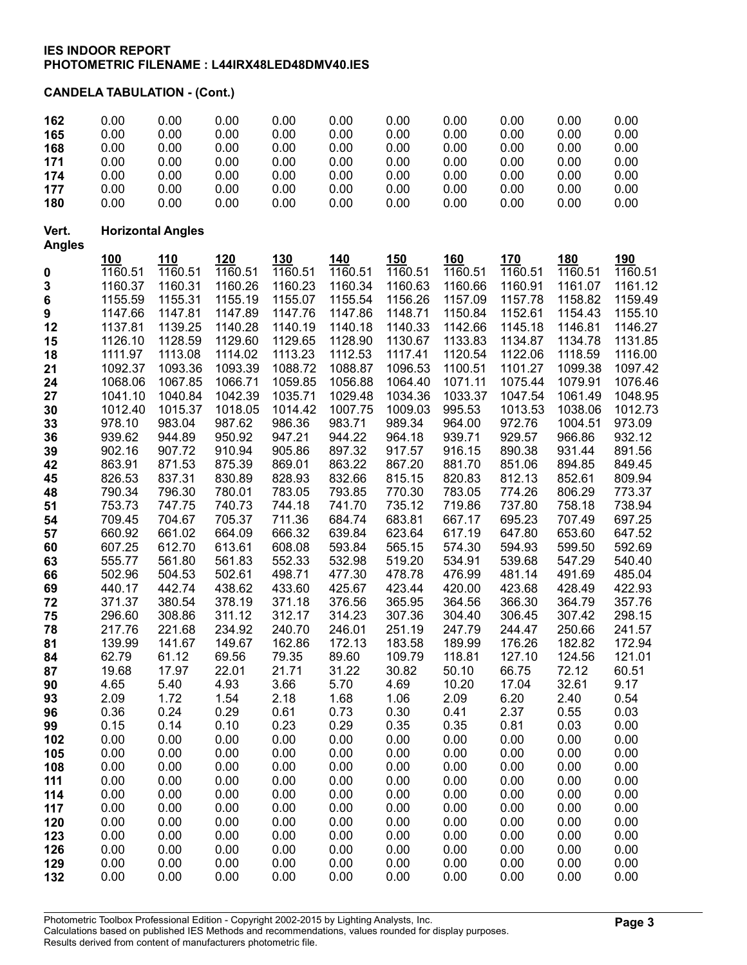# CANDELA TABULATION - (Cont.)

| 162                    | 0.00               | 0.00                     | 0.00               | 0.00               | 0.00               | 0.00               | 0.00               | 0.00               | 0.00               | 0.00               |
|------------------------|--------------------|--------------------------|--------------------|--------------------|--------------------|--------------------|--------------------|--------------------|--------------------|--------------------|
| 165                    | 0.00               | 0.00                     | 0.00               | 0.00               | 0.00               | 0.00               | 0.00               | 0.00               | 0.00               | 0.00               |
| 168                    | 0.00               | 0.00                     | 0.00               | 0.00               | 0.00               | 0.00               | 0.00               | 0.00               | 0.00               | 0.00               |
| 171                    | 0.00<br>0.00       | 0.00<br>0.00             | 0.00<br>0.00       | 0.00<br>0.00       | 0.00<br>0.00       | 0.00<br>0.00       | 0.00<br>0.00       | 0.00               | 0.00<br>0.00       | 0.00               |
| 174                    | 0.00               | 0.00                     | 0.00               | 0.00               | 0.00               | 0.00               | 0.00               | 0.00<br>0.00       | 0.00               | 0.00<br>0.00       |
| 177<br>180             | 0.00               | 0.00                     | 0.00               | 0.00               | 0.00               | 0.00               | 0.00               | 0.00               | 0.00               | 0.00               |
|                        |                    |                          |                    |                    |                    |                    |                    |                    |                    |                    |
| Vert.<br><b>Angles</b> |                    | <b>Horizontal Angles</b> |                    |                    |                    |                    |                    |                    |                    |                    |
|                        | <u>100</u>         | 110                      | 120                | <u>130</u>         | <b>140</b>         | <u>150</u>         | <u>160</u>         | 170                | <b>180</b>         | 190                |
| $\pmb{0}$              | 1160.51            | 1160.51                  | 1160.51            | 1160.51            | 1160.51            | 1160.51            | 1160.51            | 1160.51            | 1160.51            | 1160.51            |
| 3                      | 1160.37            | 1160.31                  | 1160.26            | 1160.23            | 1160.34            | 1160.63            | 1160.66            | 1160.91            | 1161.07            | 1161.12            |
| 6                      | 1155.59            | 1155.31                  | 1155.19            | 1155.07            | 1155.54            | 1156.26            | 1157.09            | 1157.78            | 1158.82            | 1159.49            |
| 9                      | 1147.66            | 1147.81                  | 1147.89            | 1147.76            | 1147.86            | 1148.71            | 1150.84            | 1152.61            | 1154.43            | 1155.10            |
| 12                     | 1137.81            | 1139.25                  | 1140.28            | 1140.19            | 1140.18            | 1140.33            | 1142.66            | 1145.18            | 1146.81            | 1146.27            |
| 15                     | 1126.10            | 1128.59                  | 1129.60            | 1129.65            | 1128.90            | 1130.67            | 1133.83            | 1134.87            | 1134.78            | 1131.85            |
| 18                     | 1111.97            | 1113.08                  | 1114.02            | 1113.23            | 1112.53            | 1117.41            | 1120.54            | 1122.06            | 1118.59            | 1116.00            |
| 21                     | 1092.37            | 1093.36                  | 1093.39            | 1088.72            | 1088.87            | 1096.53            | 1100.51            | 1101.27            | 1099.38            | 1097.42            |
| 24                     | 1068.06            | 1067.85                  | 1066.71            | 1059.85<br>1035.71 | 1056.88            | 1064.40            | 1071.11<br>1033.37 | 1075.44            | 1079.91            | 1076.46            |
| 27                     | 1041.10<br>1012.40 | 1040.84<br>1015.37       | 1042.39<br>1018.05 | 1014.42            | 1029.48<br>1007.75 | 1034.36<br>1009.03 | 995.53             | 1047.54<br>1013.53 | 1061.49<br>1038.06 | 1048.95<br>1012.73 |
| 30<br>33               | 978.10             | 983.04                   | 987.62             | 986.36             | 983.71             | 989.34             | 964.00             | 972.76             | 1004.51            | 973.09             |
| 36                     | 939.62             | 944.89                   | 950.92             | 947.21             | 944.22             | 964.18             | 939.71             | 929.57             | 966.86             | 932.12             |
| 39                     | 902.16             | 907.72                   | 910.94             | 905.86             | 897.32             | 917.57             | 916.15             | 890.38             | 931.44             | 891.56             |
| 42                     | 863.91             | 871.53                   | 875.39             | 869.01             | 863.22             | 867.20             | 881.70             | 851.06             | 894.85             | 849.45             |
| 45                     | 826.53             | 837.31                   | 830.89             | 828.93             | 832.66             | 815.15             | 820.83             | 812.13             | 852.61             | 809.94             |
| 48                     | 790.34             | 796.30                   | 780.01             | 783.05             | 793.85             | 770.30             | 783.05             | 774.26             | 806.29             | 773.37             |
| 51                     | 753.73             | 747.75                   | 740.73             | 744.18             | 741.70             | 735.12             | 719.86             | 737.80             | 758.18             | 738.94             |
| 54                     | 709.45             | 704.67                   | 705.37             | 711.36             | 684.74             | 683.81             | 667.17             | 695.23             | 707.49             | 697.25             |
| 57                     | 660.92             | 661.02                   | 664.09             | 666.32             | 639.84             | 623.64             | 617.19             | 647.80             | 653.60             | 647.52             |
| 60                     | 607.25             | 612.70                   | 613.61             | 608.08             | 593.84             | 565.15             | 574.30             | 594.93             | 599.50             | 592.69             |
| 63                     | 555.77             | 561.80                   | 561.83             | 552.33             | 532.98             | 519.20             | 534.91             | 539.68             | 547.29             | 540.40             |
| 66                     | 502.96             | 504.53                   | 502.61             | 498.71             | 477.30             | 478.78             | 476.99             | 481.14             | 491.69             | 485.04             |
| 69<br>72               | 440.17<br>371.37   | 442.74<br>380.54         | 438.62<br>378.19   | 433.60<br>371.18   | 425.67<br>376.56   | 423.44<br>365.95   | 420.00<br>364.56   | 423.68<br>366.30   | 428.49<br>364.79   | 422.93<br>357.76   |
| 75                     | 296.60             | 308.86                   | 311.12             | 312.17             | 314.23             | 307.36             | 304.40             | 306.45             | 307.42             | 298.15             |
| 78                     | 217.76             | 221.68                   | 234.92             | 240.70             | 246.01             | 251.19             | 247.79             | 244.47             | 250.66             | 241.57             |
| 81                     | 139.99             | 141.67                   | 149.67             | 162.86             | 172.13             | 183.58             | 189.99             | 176.26             | 182.82             | 172.94             |
| 84                     | 62.79              | 61.12                    | 69.56              | 79.35              | 89.60              | 109.79             | 118.81             | 127.10             | 124.56             | 121.01             |
| 87                     | 19.68              | 17.97                    | 22.01              | 21.71              | 31.22              | 30.82              | 50.10              | 66.75              | 72.12              | 60.51              |
| 90                     | 4.65               | 5.40                     | 4.93               | 3.66               | 5.70               | 4.69               | 10.20              | 17.04              | 32.61              | 9.17               |
| 93                     | 2.09               | 1.72                     | 1.54               | 2.18               | 1.68               | 1.06               | 2.09               | 6.20               | 2.40               | 0.54               |
| 96                     | 0.36               | 0.24                     | 0.29               | 0.61               | 0.73               | 0.30               | 0.41               | 2.37               | 0.55               | 0.03               |
| 99                     | 0.15               | 0.14                     | 0.10               | 0.23               | 0.29               | 0.35               | 0.35               | 0.81               | 0.03               | 0.00               |
| 102                    | 0.00               | 0.00                     | 0.00               | 0.00               | 0.00               | 0.00               | 0.00               | 0.00               | 0.00               | 0.00               |
| 105                    | 0.00               | 0.00                     | 0.00               | 0.00               | 0.00               | 0.00               | 0.00               | 0.00               | 0.00               | 0.00               |
| 108                    | 0.00<br>0.00       | 0.00<br>0.00             | 0.00<br>0.00       | 0.00<br>0.00       | 0.00<br>0.00       | 0.00<br>0.00       | 0.00<br>0.00       | 0.00<br>0.00       | 0.00<br>0.00       | 0.00<br>0.00       |
| 111<br>114             | 0.00               | 0.00                     | 0.00               | 0.00               | 0.00               | 0.00               | 0.00               | 0.00               | 0.00               | 0.00               |
| 117                    | 0.00               | 0.00                     | 0.00               | 0.00               | 0.00               | 0.00               | 0.00               | 0.00               | 0.00               | 0.00               |
| 120                    | 0.00               | 0.00                     | 0.00               | 0.00               | 0.00               | 0.00               | 0.00               | 0.00               | 0.00               | 0.00               |
| 123                    | 0.00               | 0.00                     | 0.00               | 0.00               | 0.00               | 0.00               | 0.00               | 0.00               | 0.00               | 0.00               |
| 126                    | 0.00               | 0.00                     | 0.00               | 0.00               | 0.00               | 0.00               | 0.00               | 0.00               | 0.00               | 0.00               |
| 129                    | 0.00               | 0.00                     | 0.00               | 0.00               | 0.00               | 0.00               | 0.00               | 0.00               | 0.00               | 0.00               |
| 132                    | 0.00               | 0.00                     | 0.00               | 0.00               | 0.00               | 0.00               | 0.00               | 0.00               | 0.00               | 0.00               |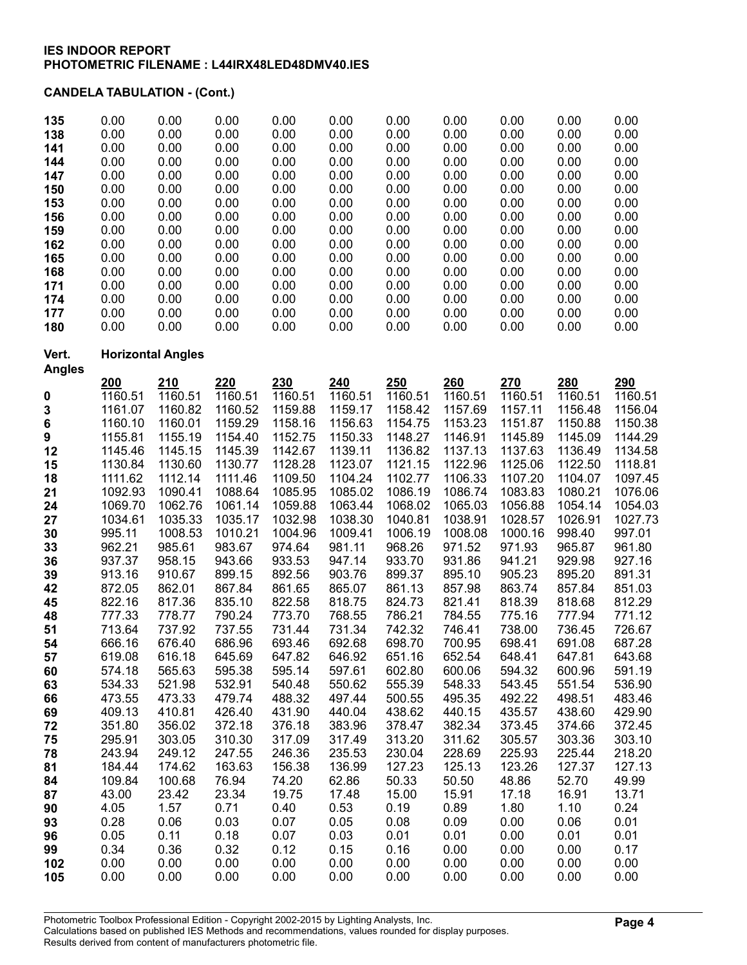# CANDELA TABULATION - (Cont.)

| 135<br>138<br>141<br>144<br>147<br>150<br>153<br>156<br>159<br>162<br>165<br>168<br>171<br>174<br>177<br>180 | 0.00<br>0.00<br>0.00<br>0.00<br>0.00<br>0.00<br>0.00<br>0.00<br>0.00<br>0.00<br>0.00<br>0.00<br>0.00<br>0.00<br>0.00<br>0.00 | 0.00<br>0.00<br>0.00<br>0.00<br>0.00<br>0.00<br>0.00<br>0.00<br>0.00<br>0.00<br>0.00<br>0.00<br>0.00<br>0.00<br>0.00<br>0.00 | 0.00<br>0.00<br>0.00<br>0.00<br>0.00<br>0.00<br>0.00<br>0.00<br>0.00<br>0.00<br>0.00<br>0.00<br>0.00<br>0.00<br>0.00<br>0.00 | 0.00<br>0.00<br>0.00<br>0.00<br>0.00<br>0.00<br>0.00<br>0.00<br>0.00<br>0.00<br>0.00<br>0.00<br>0.00<br>0.00<br>0.00<br>0.00 | 0.00<br>0.00<br>0.00<br>0.00<br>0.00<br>0.00<br>0.00<br>0.00<br>0.00<br>0.00<br>0.00<br>0.00<br>0.00<br>0.00<br>0.00<br>0.00 | 0.00<br>0.00<br>0.00<br>0.00<br>0.00<br>0.00<br>0.00<br>0.00<br>0.00<br>0.00<br>0.00<br>0.00<br>0.00<br>0.00<br>0.00<br>0.00 | 0.00<br>0.00<br>0.00<br>0.00<br>0.00<br>0.00<br>0.00<br>0.00<br>0.00<br>0.00<br>0.00<br>0.00<br>0.00<br>0.00<br>0.00<br>0.00 | 0.00<br>0.00<br>0.00<br>0.00<br>0.00<br>0.00<br>0.00<br>0.00<br>0.00<br>0.00<br>0.00<br>0.00<br>0.00<br>0.00<br>0.00<br>0.00 | 0.00<br>0.00<br>0.00<br>0.00<br>0.00<br>0.00<br>0.00<br>0.00<br>0.00<br>0.00<br>0.00<br>0.00<br>0.00<br>0.00<br>0.00<br>0.00 | 0.00<br>0.00<br>0.00<br>0.00<br>0.00<br>0.00<br>0.00<br>0.00<br>0.00<br>0.00<br>0.00<br>0.00<br>0.00<br>0.00<br>0.00<br>0.00 |
|--------------------------------------------------------------------------------------------------------------|------------------------------------------------------------------------------------------------------------------------------|------------------------------------------------------------------------------------------------------------------------------|------------------------------------------------------------------------------------------------------------------------------|------------------------------------------------------------------------------------------------------------------------------|------------------------------------------------------------------------------------------------------------------------------|------------------------------------------------------------------------------------------------------------------------------|------------------------------------------------------------------------------------------------------------------------------|------------------------------------------------------------------------------------------------------------------------------|------------------------------------------------------------------------------------------------------------------------------|------------------------------------------------------------------------------------------------------------------------------|
| Vert.<br><b>Angles</b>                                                                                       |                                                                                                                              | <b>Horizontal Angles</b>                                                                                                     |                                                                                                                              |                                                                                                                              |                                                                                                                              |                                                                                                                              |                                                                                                                              |                                                                                                                              |                                                                                                                              |                                                                                                                              |
| 0                                                                                                            | 200<br>1160.51                                                                                                               | 210<br>1160.51                                                                                                               | 220<br>1160.51                                                                                                               | 230<br>1160.51                                                                                                               | 240<br>1160.51                                                                                                               | 250<br>1160.51                                                                                                               | 260<br>1160.51                                                                                                               | 270<br>1160.51                                                                                                               | 280<br>1160.51                                                                                                               | 290<br>1160.51                                                                                                               |
| 3<br>6                                                                                                       | 1161.07<br>1160.10                                                                                                           | 1160.82<br>1160.01                                                                                                           | 1160.52<br>1159.29                                                                                                           | 1159.88<br>1158.16                                                                                                           | 1159.17<br>1156.63                                                                                                           | 1158.42<br>1154.75                                                                                                           | 1157.69<br>1153.23                                                                                                           | 1157.11<br>1151.87                                                                                                           | 1156.48<br>1150.88                                                                                                           | 1156.04<br>1150.38                                                                                                           |
| 9<br>12                                                                                                      | 1155.81<br>1145.46                                                                                                           | 1155.19<br>1145.15                                                                                                           | 1154.40<br>1145.39                                                                                                           | 1152.75<br>1142.67                                                                                                           | 1150.33<br>1139.11                                                                                                           | 1148.27<br>1136.82                                                                                                           | 1146.91<br>1137.13                                                                                                           | 1145.89<br>1137.63                                                                                                           | 1145.09<br>1136.49                                                                                                           | 1144.29<br>1134.58                                                                                                           |
| 15<br>18                                                                                                     | 1130.84<br>1111.62                                                                                                           | 1130.60<br>1112.14                                                                                                           | 1130.77<br>1111.46                                                                                                           | 1128.28<br>1109.50                                                                                                           | 1123.07<br>1104.24                                                                                                           | 1121.15<br>1102.77                                                                                                           | 1122.96<br>1106.33                                                                                                           | 1125.06<br>1107.20                                                                                                           | 1122.50<br>1104.07                                                                                                           | 1118.81<br>1097.45                                                                                                           |
| 21<br>24                                                                                                     | 1092.93<br>1069.70                                                                                                           | 1090.41<br>1062.76                                                                                                           | 1088.64<br>1061.14                                                                                                           | 1085.95<br>1059.88                                                                                                           | 1085.02<br>1063.44                                                                                                           | 1086.19<br>1068.02                                                                                                           | 1086.74<br>1065.03                                                                                                           | 1083.83<br>1056.88                                                                                                           | 1080.21<br>1054.14                                                                                                           | 1076.06<br>1054.03                                                                                                           |
| 27<br>30                                                                                                     | 1034.61<br>995.11                                                                                                            | 1035.33<br>1008.53                                                                                                           | 1035.17<br>1010.21                                                                                                           | 1032.98<br>1004.96                                                                                                           | 1038.30<br>1009.41                                                                                                           | 1040.81<br>1006.19                                                                                                           | 1038.91<br>1008.08                                                                                                           | 1028.57<br>1000.16                                                                                                           | 1026.91<br>998.40                                                                                                            | 1027.73<br>997.01                                                                                                            |
| 33                                                                                                           | 962.21                                                                                                                       | 985.61                                                                                                                       | 983.67                                                                                                                       | 974.64                                                                                                                       | 981.11                                                                                                                       | 968.26                                                                                                                       | 971.52                                                                                                                       | 971.93                                                                                                                       | 965.87                                                                                                                       | 961.80                                                                                                                       |
| 36<br>39                                                                                                     | 937.37<br>913.16                                                                                                             | 958.15<br>910.67                                                                                                             | 943.66<br>899.15                                                                                                             | 933.53<br>892.56                                                                                                             | 947.14<br>903.76                                                                                                             | 933.70<br>899.37                                                                                                             | 931.86<br>895.10                                                                                                             | 941.21<br>905.23                                                                                                             | 929.98<br>895.20                                                                                                             | 927.16<br>891.31                                                                                                             |
| 42                                                                                                           | 872.05                                                                                                                       | 862.01                                                                                                                       | 867.84                                                                                                                       | 861.65                                                                                                                       | 865.07                                                                                                                       | 861.13                                                                                                                       | 857.98                                                                                                                       | 863.74                                                                                                                       | 857.84                                                                                                                       | 851.03                                                                                                                       |
| 45<br>48                                                                                                     | 822.16<br>777.33                                                                                                             | 817.36<br>778.77                                                                                                             | 835.10<br>790.24                                                                                                             | 822.58<br>773.70                                                                                                             | 818.75<br>768.55                                                                                                             | 824.73<br>786.21                                                                                                             | 821.41<br>784.55                                                                                                             | 818.39<br>775.16                                                                                                             | 818.68<br>777.94                                                                                                             | 812.29<br>771.12                                                                                                             |
| 51                                                                                                           | 713.64                                                                                                                       | 737.92                                                                                                                       | 737.55                                                                                                                       | 731.44                                                                                                                       | 731.34                                                                                                                       | 742.32                                                                                                                       | 746.41                                                                                                                       | 738.00                                                                                                                       | 736.45                                                                                                                       | 726.67                                                                                                                       |
| 54<br>57                                                                                                     | 666.16<br>619.08                                                                                                             | 676.40<br>616.18                                                                                                             | 686.96<br>645.69                                                                                                             | 693.46<br>647.82                                                                                                             | 692.68<br>646.92                                                                                                             | 698.70<br>651.16                                                                                                             | 700.95<br>652.54                                                                                                             | 698.41<br>648.41                                                                                                             | 691.08<br>647.81                                                                                                             | 687.28<br>643.68                                                                                                             |
| 60                                                                                                           | 574.18                                                                                                                       | 565.63                                                                                                                       | 595.38                                                                                                                       | 595.14                                                                                                                       | 597.61                                                                                                                       | 602.80                                                                                                                       | 600.06                                                                                                                       | 594.32                                                                                                                       | 600.96                                                                                                                       | 591.19                                                                                                                       |
| 63                                                                                                           | 534.33                                                                                                                       | 521.98                                                                                                                       | 532.91                                                                                                                       | 540.48                                                                                                                       | 550.62                                                                                                                       | 555.39                                                                                                                       | 548.33                                                                                                                       | 543.45                                                                                                                       | 551.54                                                                                                                       | 536.90                                                                                                                       |
| 66<br>69                                                                                                     | 473.55<br>409.13                                                                                                             | 473.33<br>410.81                                                                                                             | 479.74<br>426.40                                                                                                             | 488.32<br>431.90                                                                                                             | 497.44<br>440.04                                                                                                             | 500.55<br>438.62                                                                                                             | 495.35<br>440.15                                                                                                             | 492.22<br>435.57                                                                                                             | 498.51<br>438.60                                                                                                             | 483.46<br>429.90                                                                                                             |
| 72                                                                                                           | 351.80                                                                                                                       | 356.02                                                                                                                       | 372.18                                                                                                                       | 376.18                                                                                                                       | 383.96                                                                                                                       | 378.47                                                                                                                       | 382.34                                                                                                                       | 373.45                                                                                                                       | 374.66                                                                                                                       | 372.45                                                                                                                       |
| 75                                                                                                           | 295.91                                                                                                                       | 303.05                                                                                                                       | 310.30                                                                                                                       | 317.09                                                                                                                       | 317.49                                                                                                                       | 313.20                                                                                                                       | 311.62                                                                                                                       | 305.57                                                                                                                       | 303.36                                                                                                                       | 303.10                                                                                                                       |
| 78                                                                                                           | 243.94                                                                                                                       | 249.12                                                                                                                       | 247.55                                                                                                                       | 246.36                                                                                                                       | 235.53                                                                                                                       | 230.04                                                                                                                       | 228.69                                                                                                                       | 225.93                                                                                                                       | 225.44                                                                                                                       | 218.20                                                                                                                       |
| 81<br>84                                                                                                     | 184.44<br>109.84                                                                                                             | 174.62<br>100.68                                                                                                             | 163.63<br>76.94                                                                                                              | 156.38<br>74.20                                                                                                              | 136.99<br>62.86                                                                                                              | 127.23<br>50.33                                                                                                              | 125.13<br>50.50                                                                                                              | 123.26<br>48.86                                                                                                              | 127.37<br>52.70                                                                                                              | 127.13<br>49.99                                                                                                              |
| 87                                                                                                           | 43.00                                                                                                                        | 23.42                                                                                                                        | 23.34                                                                                                                        | 19.75                                                                                                                        | 17.48                                                                                                                        | 15.00                                                                                                                        | 15.91                                                                                                                        | 17.18                                                                                                                        | 16.91                                                                                                                        | 13.71                                                                                                                        |
| 90                                                                                                           | 4.05                                                                                                                         | 1.57                                                                                                                         | 0.71                                                                                                                         | 0.40                                                                                                                         | 0.53                                                                                                                         | 0.19                                                                                                                         | 0.89                                                                                                                         | 1.80                                                                                                                         | 1.10                                                                                                                         | 0.24                                                                                                                         |
| 93                                                                                                           | 0.28                                                                                                                         | 0.06                                                                                                                         | 0.03                                                                                                                         | 0.07                                                                                                                         | 0.05                                                                                                                         | 0.08                                                                                                                         | 0.09                                                                                                                         | 0.00                                                                                                                         | 0.06                                                                                                                         | 0.01                                                                                                                         |
| 96                                                                                                           | 0.05<br>0.34                                                                                                                 | 0.11                                                                                                                         | 0.18                                                                                                                         | 0.07                                                                                                                         | 0.03                                                                                                                         | 0.01<br>0.16                                                                                                                 | 0.01                                                                                                                         | 0.00                                                                                                                         | 0.01<br>0.00                                                                                                                 | 0.01<br>0.17                                                                                                                 |
| 99<br>102                                                                                                    | 0.00                                                                                                                         | 0.36<br>0.00                                                                                                                 | 0.32<br>0.00                                                                                                                 | 0.12<br>0.00                                                                                                                 | 0.15<br>0.00                                                                                                                 | 0.00                                                                                                                         | 0.00<br>0.00                                                                                                                 | 0.00<br>0.00                                                                                                                 | 0.00                                                                                                                         | 0.00                                                                                                                         |
| 105                                                                                                          | 0.00                                                                                                                         | 0.00                                                                                                                         | 0.00                                                                                                                         | 0.00                                                                                                                         | 0.00                                                                                                                         | 0.00                                                                                                                         | 0.00                                                                                                                         | 0.00                                                                                                                         | 0.00                                                                                                                         | 0.00                                                                                                                         |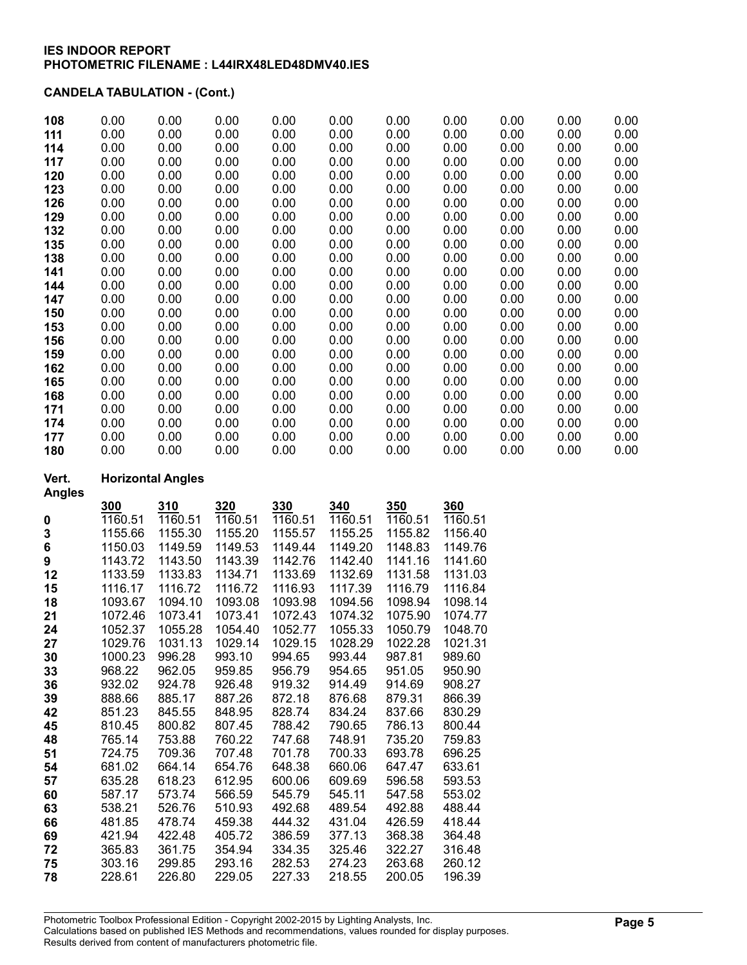## CANDELA TABULATION - (Cont.)

| 108 | 0.00 | 0.00 | 0.00 | 0.00 | 0.00 | 0.00 | 0.00 | 0.00 | 0.00 | 0.00 |
|-----|------|------|------|------|------|------|------|------|------|------|
| 111 | 0.00 | 0.00 | 0.00 | 0.00 | 0.00 | 0.00 | 0.00 | 0.00 | 0.00 | 0.00 |
| 114 | 0.00 | 0.00 | 0.00 | 0.00 | 0.00 | 0.00 | 0.00 | 0.00 | 0.00 | 0.00 |
| 117 | 0.00 | 0.00 | 0.00 | 0.00 | 0.00 | 0.00 | 0.00 | 0.00 | 0.00 | 0.00 |
| 120 | 0.00 | 0.00 | 0.00 | 0.00 | 0.00 | 0.00 | 0.00 | 0.00 | 0.00 | 0.00 |
| 123 | 0.00 | 0.00 | 0.00 | 0.00 | 0.00 | 0.00 | 0.00 | 0.00 | 0.00 | 0.00 |
| 126 | 0.00 | 0.00 | 0.00 | 0.00 | 0.00 | 0.00 | 0.00 | 0.00 | 0.00 | 0.00 |
| 129 | 0.00 | 0.00 | 0.00 | 0.00 | 0.00 | 0.00 | 0.00 | 0.00 | 0.00 | 0.00 |
| 132 | 0.00 | 0.00 | 0.00 | 0.00 | 0.00 | 0.00 | 0.00 | 0.00 | 0.00 | 0.00 |
| 135 | 0.00 | 0.00 | 0.00 | 0.00 | 0.00 | 0.00 | 0.00 | 0.00 | 0.00 | 0.00 |
| 138 | 0.00 | 0.00 | 0.00 | 0.00 | 0.00 | 0.00 | 0.00 | 0.00 | 0.00 | 0.00 |
| 141 | 0.00 | 0.00 | 0.00 | 0.00 | 0.00 | 0.00 | 0.00 | 0.00 | 0.00 | 0.00 |
| 144 | 0.00 | 0.00 | 0.00 | 0.00 | 0.00 | 0.00 | 0.00 | 0.00 | 0.00 | 0.00 |
| 147 | 0.00 | 0.00 | 0.00 | 0.00 | 0.00 | 0.00 | 0.00 | 0.00 | 0.00 | 0.00 |
| 150 | 0.00 | 0.00 | 0.00 | 0.00 | 0.00 | 0.00 | 0.00 | 0.00 | 0.00 | 0.00 |
| 153 | 0.00 | 0.00 | 0.00 | 0.00 | 0.00 | 0.00 | 0.00 | 0.00 | 0.00 | 0.00 |
| 156 | 0.00 | 0.00 | 0.00 | 0.00 | 0.00 | 0.00 | 0.00 | 0.00 | 0.00 | 0.00 |
| 159 | 0.00 | 0.00 | 0.00 | 0.00 | 0.00 | 0.00 | 0.00 | 0.00 | 0.00 | 0.00 |
| 162 | 0.00 | 0.00 | 0.00 | 0.00 | 0.00 | 0.00 | 0.00 | 0.00 | 0.00 | 0.00 |
| 165 | 0.00 | 0.00 | 0.00 | 0.00 | 0.00 | 0.00 | 0.00 | 0.00 | 0.00 | 0.00 |
| 168 | 0.00 | 0.00 | 0.00 | 0.00 | 0.00 | 0.00 | 0.00 | 0.00 | 0.00 | 0.00 |
| 171 | 0.00 | 0.00 | 0.00 | 0.00 | 0.00 | 0.00 | 0.00 | 0.00 | 0.00 | 0.00 |
| 174 | 0.00 | 0.00 | 0.00 | 0.00 | 0.00 | 0.00 | 0.00 | 0.00 | 0.00 | 0.00 |
| 177 | 0.00 | 0.00 | 0.00 | 0.00 | 0.00 | 0.00 | 0.00 | 0.00 | 0.00 | 0.00 |
| 180 | 0.00 | 0.00 | 0.00 | 0.00 | 0.00 | 0.00 | 0.00 | 0.00 | 0.00 | 0.00 |

## Vert. Horizontal Angles

| <b>Angles</b> |         |            |         |         |         |         |         |
|---------------|---------|------------|---------|---------|---------|---------|---------|
|               | 300     | <u>310</u> | 320     | 330     | 340     | 350     | 360     |
| 0             | 1160.51 | 1160.51    | 1160.51 | 1160.51 | 1160.51 | 1160.51 | 1160.51 |
| 3             | 1155.66 | 1155.30    | 1155.20 | 1155.57 | 1155.25 | 1155.82 | 1156.40 |
| 6             | 1150.03 | 1149.59    | 1149.53 | 1149.44 | 1149.20 | 1148.83 | 1149.76 |
| 9             | 1143.72 | 1143.50    | 1143.39 | 1142.76 | 1142.40 | 1141.16 | 1141.60 |
| 12            | 1133.59 | 1133.83    | 1134.71 | 1133.69 | 1132.69 | 1131.58 | 1131.03 |
| 15            | 1116.17 | 1116.72    | 1116.72 | 1116.93 | 1117.39 | 1116.79 | 1116.84 |
| 18            | 1093.67 | 1094.10    | 1093.08 | 1093.98 | 1094.56 | 1098.94 | 1098.14 |
| 21            | 1072.46 | 1073.41    | 1073.41 | 1072.43 | 1074.32 | 1075.90 | 1074.77 |
| 24            | 1052.37 | 1055.28    | 1054.40 | 1052.77 | 1055.33 | 1050.79 | 1048.70 |
| 27            | 1029.76 | 1031.13    | 1029.14 | 1029.15 | 1028.29 | 1022.28 | 1021.31 |
| 30            | 1000.23 | 996.28     | 993.10  | 994.65  | 993.44  | 987.81  | 989.60  |
| 33            | 968.22  | 962.05     | 959.85  | 956.79  | 954.65  | 951.05  | 950.90  |
| 36            | 932.02  | 924.78     | 926.48  | 919.32  | 914.49  | 914.69  | 908.27  |
| 39            | 888.66  | 885.17     | 887.26  | 872.18  | 876.68  | 879.31  | 866.39  |
| 42            | 851.23  | 845.55     | 848.95  | 828.74  | 834.24  | 837.66  | 830.29  |
| 45            | 810.45  | 800.82     | 807.45  | 788.42  | 790.65  | 786.13  | 800.44  |
| 48            | 765.14  | 753.88     | 760.22  | 747.68  | 748.91  | 735.20  | 759.83  |
| 51            | 724.75  | 709.36     | 707.48  | 701.78  | 700.33  | 693.78  | 696.25  |
| 54            | 681.02  | 664.14     | 654.76  | 648.38  | 660.06  | 647.47  | 633.61  |
| 57            | 635.28  | 618.23     | 612.95  | 600.06  | 609.69  | 596.58  | 593.53  |
| 60            | 587.17  | 573.74     | 566.59  | 545.79  | 545.11  | 547.58  | 553.02  |
| 63            | 538.21  | 526.76     | 510.93  | 492.68  | 489.54  | 492.88  | 488.44  |
| 66            | 481.85  | 478.74     | 459.38  | 444.32  | 431.04  | 426.59  | 418.44  |
| 69            | 421.94  | 422.48     | 405.72  | 386.59  | 377.13  | 368.38  | 364.48  |
| 72            | 365.83  | 361.75     | 354.94  | 334.35  | 325.46  | 322.27  | 316.48  |
| 75            | 303.16  | 299.85     | 293.16  | 282.53  | 274.23  | 263.68  | 260.12  |
| 78            | 228.61  | 226.80     | 229.05  | 227.33  | 218.55  | 200.05  | 196.39  |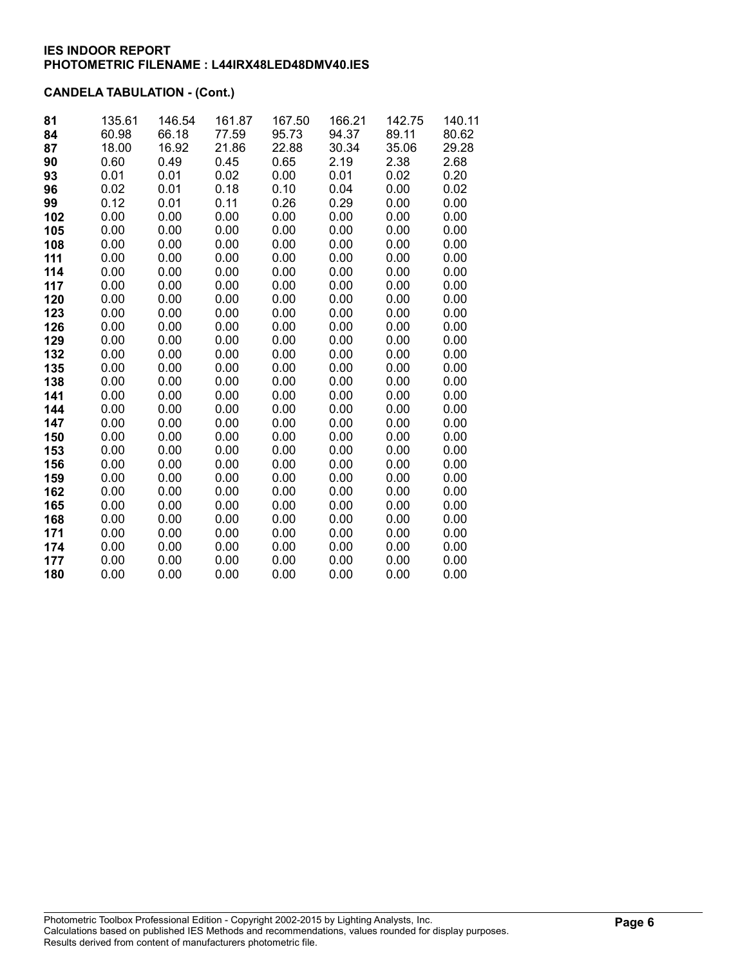# CANDELA TABULATION - (Cont.)

| 81  | 135.61 | 146.54 | 161.87 | 167.50 | 166.21 | 142.75 | 140.11 |
|-----|--------|--------|--------|--------|--------|--------|--------|
| 84  | 60.98  | 66.18  | 77.59  | 95.73  | 94.37  | 89.11  | 80.62  |
| 87  | 18.00  | 16.92  | 21.86  | 22.88  | 30.34  | 35.06  | 29.28  |
| 90  | 0.60   | 0.49   | 0.45   | 0.65   | 2.19   | 2.38   | 2.68   |
| 93  | 0.01   | 0.01   | 0.02   | 0.00   | 0.01   | 0.02   | 0.20   |
| 96  | 0.02   | 0.01   | 0.18   | 0.10   | 0.04   | 0.00   | 0.02   |
| 99  | 0.12   | 0.01   | 0.11   | 0.26   | 0.29   | 0.00   | 0.00   |
| 102 | 0.00   | 0.00   | 0.00   | 0.00   | 0.00   | 0.00   | 0.00   |
| 105 | 0.00   | 0.00   | 0.00   | 0.00   | 0.00   | 0.00   | 0.00   |
| 108 | 0.00   | 0.00   | 0.00   | 0.00   | 0.00   | 0.00   | 0.00   |
| 111 | 0.00   | 0.00   | 0.00   | 0.00   | 0.00   | 0.00   | 0.00   |
| 114 | 0.00   | 0.00   | 0.00   | 0.00   | 0.00   | 0.00   | 0.00   |
| 117 | 0.00   | 0.00   | 0.00   | 0.00   | 0.00   | 0.00   | 0.00   |
| 120 | 0.00   | 0.00   | 0.00   | 0.00   | 0.00   | 0.00   | 0.00   |
| 123 | 0.00   | 0.00   | 0.00   | 0.00   | 0.00   | 0.00   | 0.00   |
| 126 | 0.00   | 0.00   | 0.00   | 0.00   | 0.00   | 0.00   | 0.00   |
| 129 | 0.00   | 0.00   | 0.00   | 0.00   | 0.00   | 0.00   | 0.00   |
| 132 | 0.00   | 0.00   | 0.00   | 0.00   | 0.00   | 0.00   | 0.00   |
| 135 | 0.00   | 0.00   | 0.00   | 0.00   | 0.00   | 0.00   | 0.00   |
| 138 | 0.00   | 0.00   | 0.00   | 0.00   | 0.00   | 0.00   | 0.00   |
| 141 | 0.00   | 0.00   | 0.00   | 0.00   | 0.00   | 0.00   | 0.00   |
| 144 | 0.00   | 0.00   | 0.00   | 0.00   | 0.00   | 0.00   | 0.00   |
| 147 | 0.00   | 0.00   | 0.00   | 0.00   | 0.00   | 0.00   | 0.00   |
| 150 | 0.00   | 0.00   | 0.00   | 0.00   | 0.00   | 0.00   | 0.00   |
| 153 | 0.00   | 0.00   | 0.00   | 0.00   | 0.00   | 0.00   | 0.00   |
| 156 | 0.00   | 0.00   | 0.00   | 0.00   | 0.00   | 0.00   | 0.00   |
| 159 | 0.00   | 0.00   | 0.00   | 0.00   | 0.00   | 0.00   | 0.00   |
| 162 | 0.00   | 0.00   | 0.00   | 0.00   | 0.00   | 0.00   | 0.00   |
| 165 | 0.00   | 0.00   | 0.00   | 0.00   | 0.00   | 0.00   | 0.00   |
| 168 | 0.00   | 0.00   | 0.00   | 0.00   | 0.00   | 0.00   | 0.00   |
| 171 | 0.00   | 0.00   | 0.00   | 0.00   | 0.00   | 0.00   | 0.00   |
| 174 | 0.00   | 0.00   | 0.00   | 0.00   | 0.00   | 0.00   | 0.00   |
| 177 | 0.00   | 0.00   | 0.00   | 0.00   | 0.00   | 0.00   | 0.00   |
| 180 | 0.00   | 0.00   | 0.00   | 0.00   | 0.00   | 0.00   | 0.00   |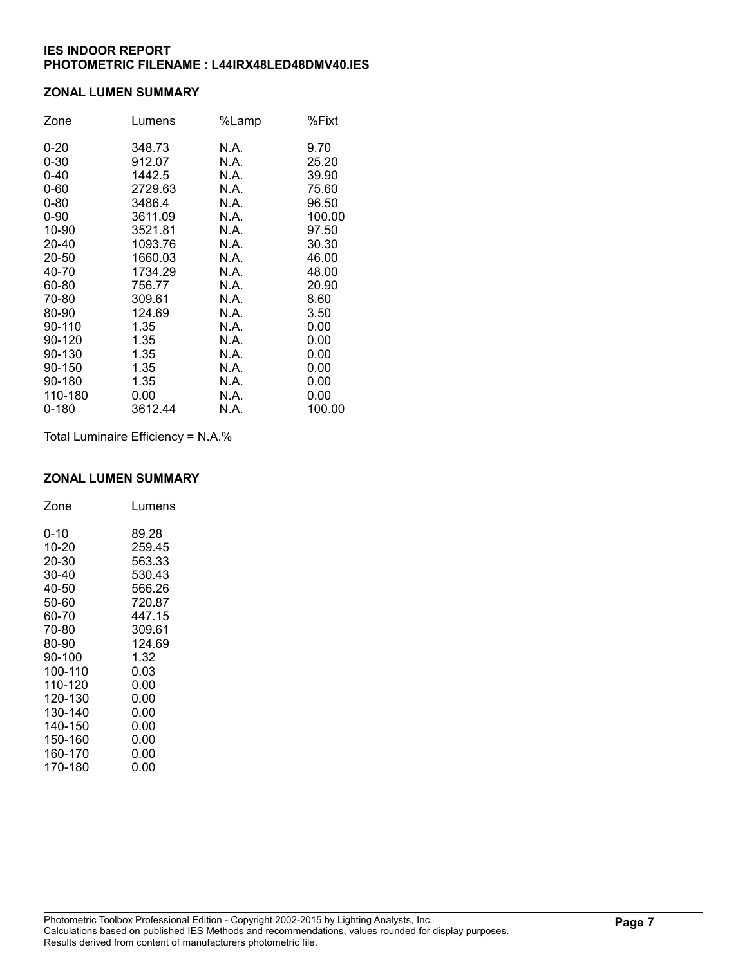### ZONAL LUMEN SUMMARY

| Zone      | Lumens  | %Lamp | %Fixt  |
|-----------|---------|-------|--------|
| $0 - 20$  | 348.73  | N.A.  | 9.70   |
| $0 - 30$  | 912.07  | N.A.  | 25.20  |
| $0 - 40$  | 1442.5  | N.A.  | 39.90  |
| $0 - 60$  | 2729.63 | N.A.  | 75.60  |
| $0 - 80$  | 3486.4  | N.A.  | 96.50  |
| $0 - 90$  | 3611.09 | N.A.  | 100.00 |
| 10-90     | 3521.81 | N.A.  | 97.50  |
| 20-40     | 1093.76 | N.A.  | 30.30  |
| 20-50     | 1660.03 | N.A.  | 46.00  |
| 40-70     | 1734.29 | N.A.  | 48.00  |
| 60-80     | 756.77  | N.A.  | 20.90  |
| 70-80     | 309.61  | N.A.  | 8.60   |
| 80-90     | 124.69  | N.A.  | 3.50   |
| 90-110    | 1.35    | N.A.  | 0.00   |
| 90-120    | 1.35    | N.A.  | 0.00   |
| 90-130    | 1.35    | N.A.  | 0.00   |
| 90-150    | 1.35    | N.A.  | 0.00   |
| 90-180    | 1.35    | N.A.  | 0.00   |
| 110-180   | 0.00    | N.A.  | 0.00   |
| $0 - 180$ | 3612.44 | N.A.  | 100.00 |

Total Luminaire Efficiency = N.A.%

## ZONAL LUMEN SUMMARY

| Zone    | Lumens |
|---------|--------|
| 0-10    | 89.28  |
| 10-20   | 259.45 |
| 20-30   | 563.33 |
| 30-40   | 530.43 |
| 40-50   | 566.26 |
| 50-60   | 720.87 |
| 60-70   | 447.15 |
| 70-80   | 309.61 |
| 80-90   | 124.69 |
| 90-100  | 1.32   |
| 100-110 | 0.03   |
| 110-120 | 0.00   |
| 120-130 | 0.00   |
| 130-140 | 0.00   |
| 140-150 | 0.00   |
| 150-160 | 0.00   |
| 160-170 | 0.00   |
| 170-180 | 0.00   |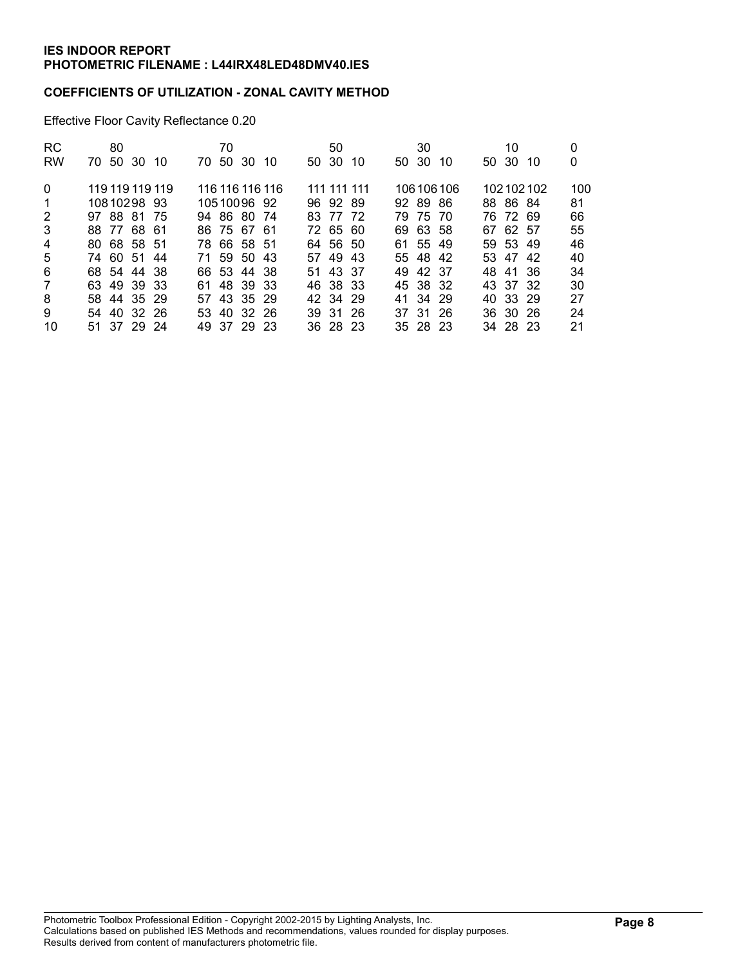### COEFFICIENTS OF UTILIZATION - ZONAL CAVITY METHOD

Effective Floor Cavity Reflectance 0.20

| <b>RC</b>    | 80              |       |     | 70 |             |                 | 50          |     |     | 30       |           | 10       |           | 0   |
|--------------|-----------------|-------|-----|----|-------------|-----------------|-------------|-----|-----|----------|-----------|----------|-----------|-----|
| <b>RW</b>    | 50<br>70.       | 30 10 | 70. | 50 | -30         | 10              | 50 30       | -10 |     | 50 30    | 10        | 50 30    | -10       | 0   |
| $\mathbf{0}$ | 119 119 119 119 |       |     |    |             | 116 116 116 116 | 111 111 111 |     |     |          | 106106106 |          | 102102102 | 100 |
| $\mathbf{1}$ | 10810298 93     |       |     |    | 1051009692  |                 | 96 92 89    |     |     | 92 89 86 |           | 88 86 84 |           | 81  |
| 2            | 97 88 81 75     |       |     |    | 94 86 80 74 |                 | 83 77 72    |     |     | 79 75 70 |           | 76 72 69 |           | 66  |
| 3            | 88 77 68 61     |       |     |    | 86 75 67 61 |                 | 72 65 60    |     | 69. | 63 58    |           | 67 62 57 |           | 55  |
| 4            | 80 68 58 51     |       |     |    | 78 66 58 51 |                 | 64 56 50    |     |     | 61 55 49 |           | 59 53 49 |           | 46  |
| 5            | 74 60 51 44     |       |     |    | 71 59 50 43 |                 | 57 49 43    |     |     | 55 48 42 |           | 53 47 42 |           | 40  |
| 6            | 68 54 44 38     |       |     |    | 66 53 44 38 |                 | 51 43 37    |     |     | 49 42 37 |           | 48 41 36 |           | 34  |
| 7            | 63 49 39 33     |       |     |    | 61 48 39 33 |                 | 46 38 33    |     |     | 45 38 32 |           | 43 37 32 |           | 30  |
| 8            | 58 44 35 29     |       |     |    | 57 43 35 29 |                 | 42 34 29    |     |     | 41 34 29 |           | 40 33 29 |           | 27  |
| 9            | 54 40 32 26     |       |     |    | 53 40 32 26 |                 | 39 31 26    |     |     | 37 31 26 |           | 36 30 26 |           | 24  |
| 10           | 51 37 29 24     |       |     |    | 49 37 29 23 |                 | 36 28 23    |     |     | 35 28 23 |           | 34 28 23 |           | 21  |